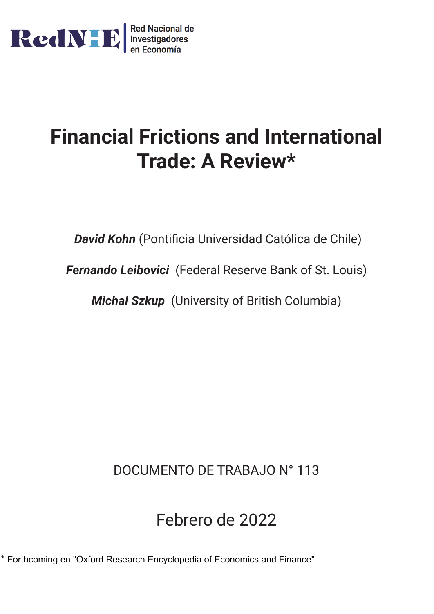

# **Financial Frictions and International Trade: A Review\***

*David Kohn* (Pontificia Universidad Católica de Chile)

*Fernando Leibovici* (Federal Reserve Bank of St. Louis)

*Michal Szkup* (University of British Columbia)

DOCUMENTO DE TRABAJO N° 113

## Febrero de 2022

\* Forthcoming en "Oxford Research Encyclopedia of Economics and Finance"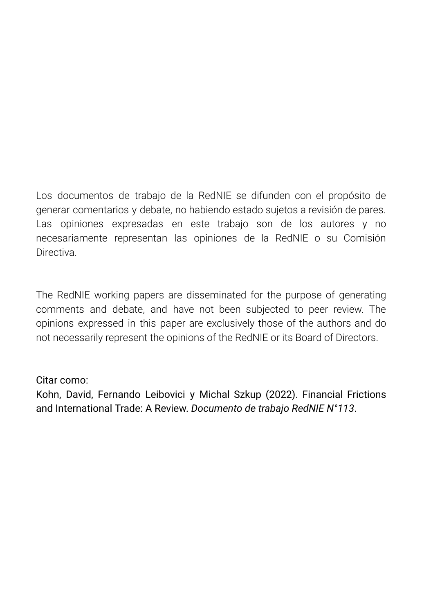Los documentos de trabajo de la RedNIE se difunden con el propósito de generar comentarios y debate, no habiendo estado sujetos a revisión de pares. Las opiniones expresadas en este trabajo son de los autores y no necesariamente representan las opiniones de la RedNIE o su Comisión Directiva.

The RedNIE working papers are disseminated for the purpose of generating comments and debate, and have not been subjected to peer review. The opinions expressed in this paper are exclusively those of the authors and do not necessarily represent the opinions of the RedNIE or its Board of Directors.

Citar como:

Kohn, David, Fernando Leibovici y Michal Szkup (2022). Financial Frictions and International Trade: A Review. *Documento de trabajo RedNIE N°113*.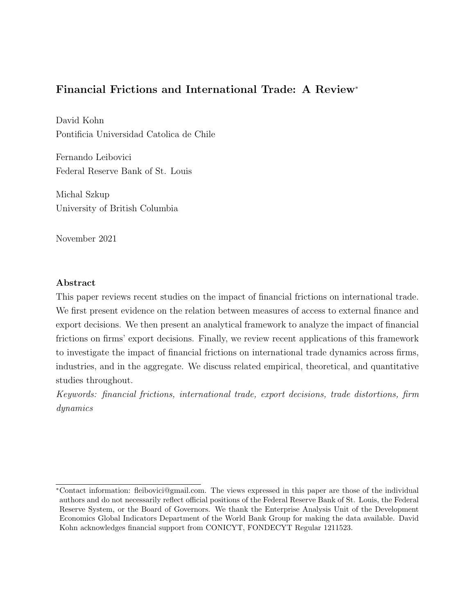## <span id="page-2-0"></span>Financial Frictions and International Trade: A Review<sup>∗</sup>

David Kohn Pontificia Universidad Catolica de Chile

Fernando Leibovici Federal Reserve Bank of St. Louis

Michal Szkup University of British Columbia

November 2021

## Abstract

This paper reviews recent studies on the impact of financial frictions on international trade. We first present evidence on the relation between measures of access to external finance and export decisions. We then present an analytical framework to analyze the impact of financial frictions on firms' export decisions. Finally, we review recent applications of this framework to investigate the impact of financial frictions on international trade dynamics across firms, industries, and in the aggregate. We discuss related empirical, theoretical, and quantitative studies throughout.

Keywords: financial frictions, international trade, export decisions, trade distortions, firm dynamics

<sup>∗</sup>Contact information: fleibovici@gmail.com. The views expressed in this paper are those of the individual authors and do not necessarily reflect official positions of the Federal Reserve Bank of St. Louis, the Federal Reserve System, or the Board of Governors. We thank the Enterprise Analysis Unit of the Development Economics Global Indicators Department of the World Bank Group for making the data available. David Kohn acknowledges financial support from CONICYT, FONDECYT Regular 1211523.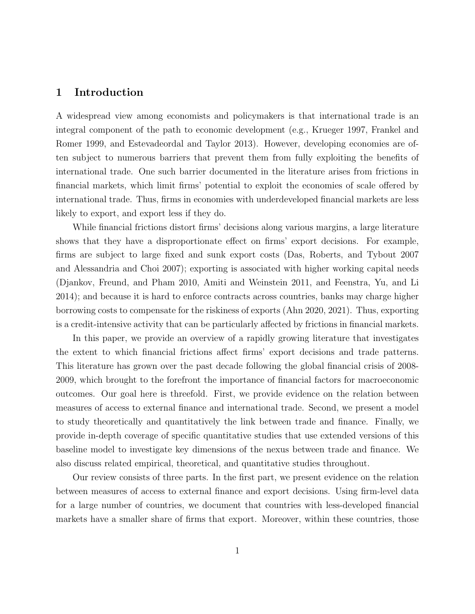## 1 Introduction

A widespread view among economists and policymakers is that international trade is an integral component of the path to economic development (e.g., [Krueger 1997,](#page-47-0) [Frankel and](#page-46-0) [Romer 1999,](#page-46-0) and [Estevadeordal and Taylor 2013\)](#page-46-1). However, developing economies are often subject to numerous barriers that prevent them from fully exploiting the benefits of international trade. One such barrier documented in the literature arises from frictions in financial markets, which limit firms' potential to exploit the economies of scale offered by international trade. Thus, firms in economies with underdeveloped financial markets are less likely to export, and export less if they do.

While financial frictions distort firms' decisions along various margins, a large literature shows that they have a disproportionate effect on firms' export decisions. For example, firms are subject to large fixed and sunk export costs [\(Das, Roberts, and Tybout 2007](#page-45-0) and [Alessandria and Choi 2007\)](#page-43-0); exporting is associated with higher working capital needs [\(Djankov, Freund, and Pham 2010,](#page-45-1) [Amiti and Weinstein 2011,](#page-43-1) and [Feenstra, Yu, and Li](#page-46-2) [2014\)](#page-46-2); and because it is hard to enforce contracts across countries, banks may charge higher borrowing costs to compensate for the riskiness of exports [\(Ahn 2020,](#page-43-2) [2021\)](#page-43-3). Thus, exporting is a credit-intensive activity that can be particularly affected by frictions in financial markets.

In this paper, we provide an overview of a rapidly growing literature that investigates the extent to which financial frictions affect firms' export decisions and trade patterns. This literature has grown over the past decade following the global financial crisis of 2008- 2009, which brought to the forefront the importance of financial factors for macroeconomic outcomes. Our goal here is threefold. First, we provide evidence on the relation between measures of access to external finance and international trade. Second, we present a model to study theoretically and quantitatively the link between trade and finance. Finally, we provide in-depth coverage of specific quantitative studies that use extended versions of this baseline model to investigate key dimensions of the nexus between trade and finance. We also discuss related empirical, theoretical, and quantitative studies throughout.

Our review consists of three parts. In the first part, we present evidence on the relation between measures of access to external finance and export decisions. Using firm-level data for a large number of countries, we document that countries with less-developed financial markets have a smaller share of firms that export. Moreover, within these countries, those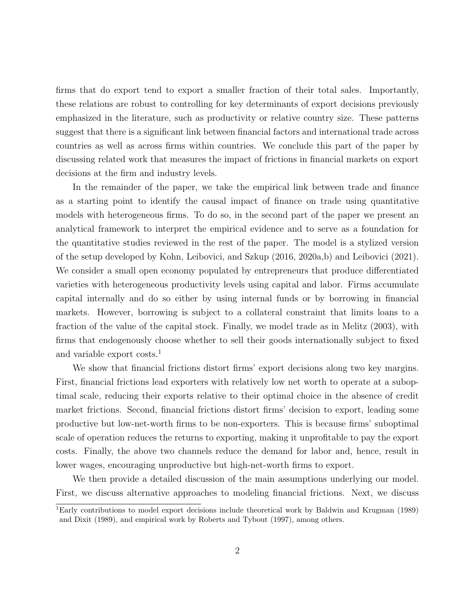firms that do export tend to export a smaller fraction of their total sales. Importantly, these relations are robust to controlling for key determinants of export decisions previously emphasized in the literature, such as productivity or relative country size. These patterns suggest that there is a significant link between financial factors and international trade across countries as well as across firms within countries. We conclude this part of the paper by discussing related work that measures the impact of frictions in financial markets on export decisions at the firm and industry levels.

In the remainder of the paper, we take the empirical link between trade and finance as a starting point to identify the causal impact of finance on trade using quantitative models with heterogeneous firms. To do so, in the second part of the paper we present an analytical framework to interpret the empirical evidence and to serve as a foundation for the quantitative studies reviewed in the rest of the paper. The model is a stylized version of the setup developed by [Kohn, Leibovici, and Szkup](#page-47-1) [\(2016,](#page-47-1) [2020a,](#page-47-2)[b\)](#page-47-3) and [Leibovici](#page-47-4) [\(2021\)](#page-47-4). We consider a small open economy populated by entrepreneurs that produce differentiated varieties with heterogeneous productivity levels using capital and labor. Firms accumulate capital internally and do so either by using internal funds or by borrowing in financial markets. However, borrowing is subject to a collateral constraint that limits loans to a fraction of the value of the capital stock. Finally, we model trade as in [Melitz](#page-47-5) [\(2003\)](#page-47-5), with firms that endogenously choose whether to sell their goods internationally subject to fixed and variable export costs.[1](#page-2-0)

We show that financial frictions distort firms' export decisions along two key margins. First, financial frictions lead exporters with relatively low net worth to operate at a suboptimal scale, reducing their exports relative to their optimal choice in the absence of credit market frictions. Second, financial frictions distort firms' decision to export, leading some productive but low-net-worth firms to be non-exporters. This is because firms' suboptimal scale of operation reduces the returns to exporting, making it unprofitable to pay the export costs. Finally, the above two channels reduce the demand for labor and, hence, result in lower wages, encouraging unproductive but high-net-worth firms to export.

We then provide a detailed discussion of the main assumptions underlying our model. First, we discuss alternative approaches to modeling financial frictions. Next, we discuss

<sup>1</sup>Early contributions to model export decisions include theoretical work by [Baldwin and Krugman](#page-44-0) [\(1989\)](#page-44-0) and [Dixit](#page-45-2) [\(1989\)](#page-45-2), and empirical work by [Roberts and Tybout](#page-48-0) [\(1997\)](#page-48-0), among others.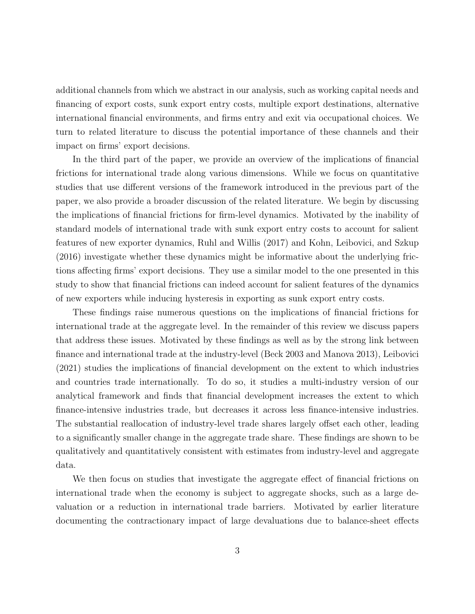additional channels from which we abstract in our analysis, such as working capital needs and financing of export costs, sunk export entry costs, multiple export destinations, alternative international financial environments, and firms entry and exit via occupational choices. We turn to related literature to discuss the potential importance of these channels and their impact on firms' export decisions.

In the third part of the paper, we provide an overview of the implications of financial frictions for international trade along various dimensions. While we focus on quantitative studies that use different versions of the framework introduced in the previous part of the paper, we also provide a broader discussion of the related literature. We begin by discussing the implications of financial frictions for firm-level dynamics. Motivated by the inability of standard models of international trade with sunk export entry costs to account for salient features of new exporter dynamics, [Ruhl and Willis](#page-48-1) [\(2017\)](#page-48-1) and [Kohn, Leibovici, and Szkup](#page-47-1) [\(2016\)](#page-47-1) investigate whether these dynamics might be informative about the underlying frictions affecting firms' export decisions. They use a similar model to the one presented in this study to show that financial frictions can indeed account for salient features of the dynamics of new exporters while inducing hysteresis in exporting as sunk export entry costs.

These findings raise numerous questions on the implications of financial frictions for international trade at the aggregate level. In the remainder of this review we discuss papers that address these issues. Motivated by these findings as well as by the strong link between finance and international trade at the industry-level [\(Beck 2003](#page-44-1) and [Manova 2013\)](#page-47-6), [Leibovici](#page-47-4) [\(2021\)](#page-47-4) studies the implications of financial development on the extent to which industries and countries trade internationally. To do so, it studies a multi-industry version of our analytical framework and finds that financial development increases the extent to which finance-intensive industries trade, but decreases it across less finance-intensive industries. The substantial reallocation of industry-level trade shares largely offset each other, leading to a significantly smaller change in the aggregate trade share. These findings are shown to be qualitatively and quantitatively consistent with estimates from industry-level and aggregate data.

We then focus on studies that investigate the aggregate effect of financial frictions on international trade when the economy is subject to aggregate shocks, such as a large devaluation or a reduction in international trade barriers. Motivated by earlier literature documenting the contractionary impact of large devaluations due to balance-sheet effects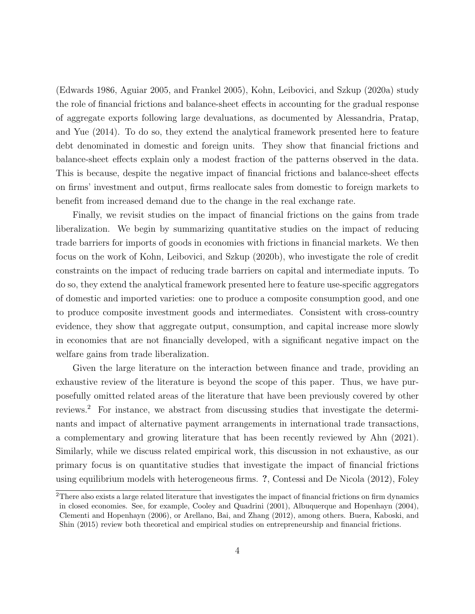[\(Edwards 1986,](#page-45-3) [Aguiar 2005,](#page-43-4) and [Frankel 2005\)](#page-46-3), [Kohn, Leibovici, and Szkup](#page-47-2) [\(2020a\)](#page-47-2) study the role of financial frictions and balance-sheet effects in accounting for the gradual response of aggregate exports following large devaluations, as documented by [Alessandria, Pratap,](#page-43-5) [and Yue](#page-43-5) [\(2014\)](#page-43-5). To do so, they extend the analytical framework presented here to feature debt denominated in domestic and foreign units. They show that financial frictions and balance-sheet effects explain only a modest fraction of the patterns observed in the data. This is because, despite the negative impact of financial frictions and balance-sheet effects on firms' investment and output, firms reallocate sales from domestic to foreign markets to benefit from increased demand due to the change in the real exchange rate.

Finally, we revisit studies on the impact of financial frictions on the gains from trade liberalization. We begin by summarizing quantitative studies on the impact of reducing trade barriers for imports of goods in economies with frictions in financial markets. We then focus on the work of [Kohn, Leibovici, and Szkup](#page-47-3) [\(2020b\)](#page-47-3), who investigate the role of credit constraints on the impact of reducing trade barriers on capital and intermediate inputs. To do so, they extend the analytical framework presented here to feature use-specific aggregators of domestic and imported varieties: one to produce a composite consumption good, and one to produce composite investment goods and intermediates. Consistent with cross-country evidence, they show that aggregate output, consumption, and capital increase more slowly in economies that are not financially developed, with a significant negative impact on the welfare gains from trade liberalization.

Given the large literature on the interaction between finance and trade, providing an exhaustive review of the literature is beyond the scope of this paper. Thus, we have purposefully omitted related areas of the literature that have been previously covered by other reviews.[2](#page-2-0) For instance, we abstract from discussing studies that investigate the determinants and impact of alternative payment arrangements in international trade transactions, a complementary and growing literature that has been recently reviewed by [Ahn](#page-43-3) [\(2021\)](#page-43-3). Similarly, while we discuss related empirical work, this discussion in not exhaustive, as our primary focus is on quantitative studies that investigate the impact of financial frictions using equilibrium models with heterogeneous firms. ?, [Contessi and De Nicola](#page-45-4) [\(2012\)](#page-45-4), [Foley](#page-46-4)

<sup>&</sup>lt;sup>2</sup>[There also exists a large related literature that investigates the impact of financial frictions on firm dynamics](#page-46-4) [in closed economies. See, for example, Cooley and Quadrini \(2001\), Albuquerque and Hopenhayn \(2004\),](#page-46-4) [Clementi and Hopenhayn \(2006\), or Arellano, Bai, and Zhang \(2012\), among others. Buera, Kaboski, and](#page-46-4) [Shin \(2015\) review both theoretical and empirical studies on entrepreneurship and financial frictions.](#page-46-4)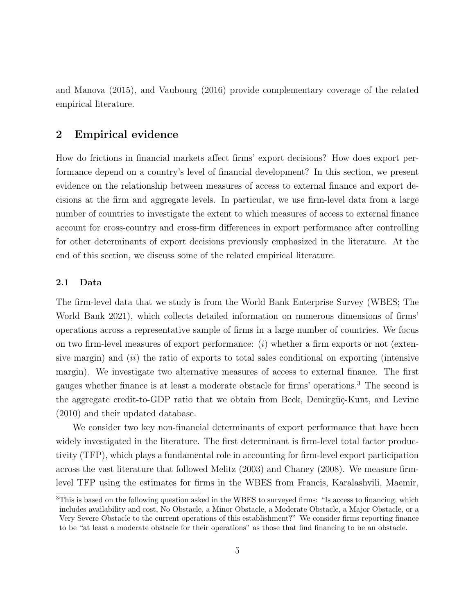<span id="page-7-0"></span>[and Manova](#page-46-4) [\(2015\)](#page-46-4), and [Vaubourg](#page-48-2) [\(2016\)](#page-48-2) provide complementary coverage of the related empirical literature.

## 2 Empirical evidence

How do frictions in financial markets affect firms' export decisions? How does export performance depend on a country's level of financial development? In this section, we present evidence on the relationship between measures of access to external finance and export decisions at the firm and aggregate levels. In particular, we use firm-level data from a large number of countries to investigate the extent to which measures of access to external finance account for cross-country and cross-firm differences in export performance after controlling for other determinants of export decisions previously emphasized in the literature. At the end of this section, we discuss some of the related empirical literature.

#### 2.1 Data

The firm-level data that we study is from the World Bank Enterprise Survey (WBES; [The](#page-48-3) [World Bank 2021\)](#page-48-3), which collects detailed information on numerous dimensions of firms' operations across a representative sample of firms in a large number of countries. We focus on two firm-level measures of export performance:  $(i)$  whether a firm exports or not (extensive margin) and  $(ii)$  the ratio of exports to total sales conditional on exporting (intensive margin). We investigate two alternative measures of access to external finance. The first gauges whether finance is at least a moderate obstacle for firms' operations.[3](#page-2-0) The second is the aggregate credit-to-GDP ratio that we obtain from Beck, Demirgüç-Kunt, and Levine [\(2010\)](#page-44-3) and their updated database.

We consider two key non-financial determinants of export performance that have been widely investigated in the literature. The first determinant is firm-level total factor productivity (TFP), which plays a fundamental role in accounting for firm-level export participation across the vast literature that followed [Melitz](#page-47-5) [\(2003\)](#page-47-5) and [Chaney](#page-45-7) [\(2008\)](#page-45-7). We measure firmlevel TFP using the estimates for firms in the WBES from [Francis, Karalashvili, Maemir,](#page-46-5)

<sup>&</sup>lt;sup>3</sup>[This is based on the following question asked in the WBES to surveyed firms: "Is access to financing, which](#page-46-5) [includes availability and cost, No Obstacle, a Minor Obstacle, a Moderate Obstacle, a Major Obstacle, or a](#page-46-5) [Very Severe Obstacle to the current operations of this establishment?" We consider firms reporting finance](#page-46-5) [to be "at least a moderate obstacle for their operations" as those that find financing to be an obstacle.](#page-46-5)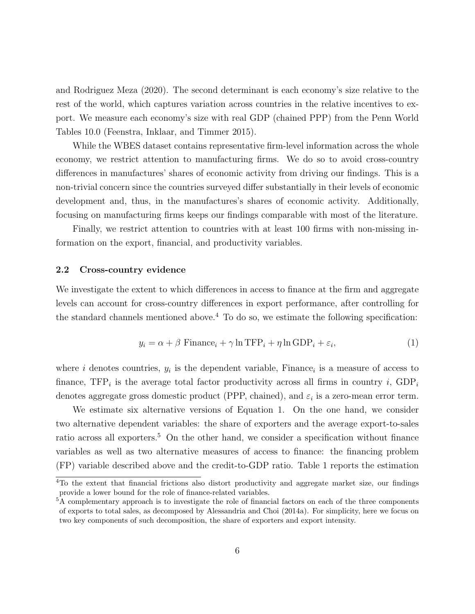[and Rodriguez Meza](#page-46-5) [\(2020\)](#page-46-5). The second determinant is each economy's size relative to the rest of the world, which captures variation across countries in the relative incentives to export. We measure each economy's size with real GDP (chained PPP) from the Penn World Tables 10.0 [\(Feenstra, Inklaar, and Timmer 2015\)](#page-46-6).

While the WBES dataset contains representative firm-level information across the whole economy, we restrict attention to manufacturing firms. We do so to avoid cross-country differences in manufactures' shares of economic activity from driving our findings. This is a non-trivial concern since the countries surveyed differ substantially in their levels of economic development and, thus, in the manufactures's shares of economic activity. Additionally, focusing on manufacturing firms keeps our findings comparable with most of the literature.

Finally, we restrict attention to countries with at least 100 firms with non-missing information on the export, financial, and productivity variables.

#### 2.2 Cross-country evidence

We investigate the extent to which differences in access to finance at the firm and aggregate levels can account for cross-country differences in export performance, after controlling for the standard channels mentioned above.<sup>[4](#page-2-0)</sup> To do so, we estimate the following specification:

<span id="page-8-0"></span>
$$
y_i = \alpha + \beta \text{ Finance}_i + \gamma \ln \text{TFP}_i + \eta \ln \text{GDP}_i + \varepsilon_i,\tag{1}
$$

where i denotes countries,  $y_i$  is the dependent variable, Finance<sub>i</sub> is a measure of access to finance,  $TFP_i$  is the average total factor productivity across all firms in country i,  $GDP_i$ denotes aggregate gross domestic product (PPP, chained), and  $\varepsilon_i$  is a zero-mean error term.

We estimate six alternative versions of Equation [1.](#page-8-0) On the one hand, we consider two alternative dependent variables: the share of exporters and the average export-to-sales ratio across all exporters.<sup>[5](#page-2-0)</sup> On the other hand, we consider a specification without finance variables as well as two alternative measures of access to finance: the financing problem (FP) variable described above and the credit-to-GDP ratio. Table [1](#page-9-0) reports the estimation

<sup>&</sup>lt;sup>4</sup>To the extent that financial frictions also distort productivity and aggregate market size, our findings provide a lower bound for the role of finance-related variables.

<sup>&</sup>lt;sup>5</sup>A complementary approach is to investigate the role of financial factors on each of the three components of exports to total sales, as decomposed by [Alessandria and Choi](#page-43-8) [\(2014a\)](#page-43-8). For simplicity, here we focus on two key components of such decomposition, the share of exporters and export intensity.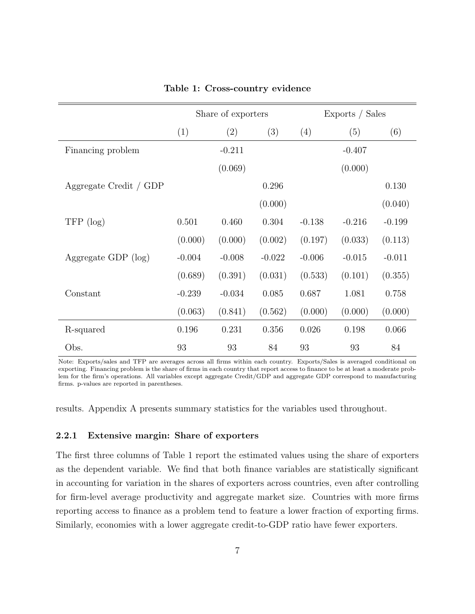<span id="page-9-0"></span>

|                        | Share of exporters |          | Exports / Sales |          |          |          |
|------------------------|--------------------|----------|-----------------|----------|----------|----------|
|                        | (1)                | (2)      | (3)             | (4)      | (5)      | (6)      |
| Financing problem      |                    | $-0.211$ |                 |          | $-0.407$ |          |
|                        |                    | (0.069)  |                 |          | (0.000)  |          |
| Aggregate Credit / GDP |                    |          | 0.296           |          |          | 0.130    |
|                        |                    |          | (0.000)         |          |          | (0.040)  |
| $TFP$ (log)            | 0.501              | 0.460    | 0.304           | $-0.138$ | $-0.216$ | $-0.199$ |
|                        | (0.000)            | (0.000)  | (0.002)         | (0.197)  | (0.033)  | (0.113)  |
| Aggregate GDP $(log)$  | $-0.004$           | $-0.008$ | $-0.022$        | $-0.006$ | $-0.015$ | $-0.011$ |
|                        | (0.689)            | (0.391)  | (0.031)         | (0.533)  | (0.101)  | (0.355)  |
| Constant               | $-0.239$           | $-0.034$ | 0.085           | 0.687    | 1.081    | 0.758    |
|                        | (0.063)            | (0.841)  | (0.562)         | (0.000)  | (0.000)  | (0.000)  |
| R-squared              | 0.196              | 0.231    | 0.356           | 0.026    | 0.198    | 0.066    |
| Obs.                   | 93                 | 93       | 84              | 93       | 93       | 84       |

#### Table 1: Cross-country evidence

Note: Exports/sales and TFP are averages across all firms within each country. Exports/Sales is averaged conditional on exporting. Financing problem is the share of firms in each country that report access to finance to be at least a moderate problem for the firm's operations. All variables except aggregate Credit/GDP and aggregate GDP correspond to manufacturing firms. p-values are reported in parentheses.

results. Appendix [A](#page-49-0) presents summary statistics for the variables used throughout.

#### 2.2.1 Extensive margin: Share of exporters

The first three columns of Table [1](#page-9-0) report the estimated values using the share of exporters as the dependent variable. We find that both finance variables are statistically significant in accounting for variation in the shares of exporters across countries, even after controlling for firm-level average productivity and aggregate market size. Countries with more firms reporting access to finance as a problem tend to feature a lower fraction of exporting firms. Similarly, economies with a lower aggregate credit-to-GDP ratio have fewer exporters.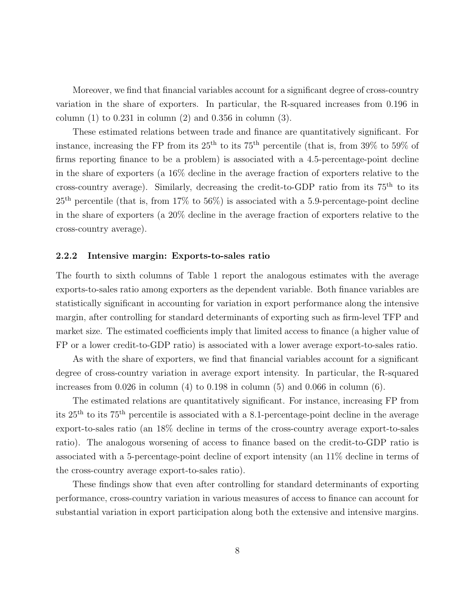Moreover, we find that financial variables account for a significant degree of cross-country variation in the share of exporters. In particular, the R-squared increases from 0.196 in column  $(1)$  to  $0.231$  in column  $(2)$  and  $0.356$  in column  $(3)$ .

These estimated relations between trade and finance are quantitatively significant. For instance, increasing the FP from its  $25<sup>th</sup>$  to its  $75<sup>th</sup>$  percentile (that is, from  $39\%$  to  $59\%$  of firms reporting finance to be a problem) is associated with a 4.5-percentage-point decline in the share of exporters (a 16% decline in the average fraction of exporters relative to the cross-country average). Similarly, decreasing the credit-to-GDP ratio from its  $75<sup>th</sup>$  to its  $25<sup>th</sup>$  percentile (that is, from  $17\%$  to  $56\%$ ) is associated with a 5.9-percentage-point decline in the share of exporters (a 20% decline in the average fraction of exporters relative to the cross-country average).

#### 2.2.2 Intensive margin: Exports-to-sales ratio

The fourth to sixth columns of Table [1](#page-9-0) report the analogous estimates with the average exports-to-sales ratio among exporters as the dependent variable. Both finance variables are statistically significant in accounting for variation in export performance along the intensive margin, after controlling for standard determinants of exporting such as firm-level TFP and market size. The estimated coefficients imply that limited access to finance (a higher value of FP or a lower credit-to-GDP ratio) is associated with a lower average export-to-sales ratio.

As with the share of exporters, we find that financial variables account for a significant degree of cross-country variation in average export intensity. In particular, the R-squared increases from  $0.026$  in column  $(4)$  to  $0.198$  in column  $(5)$  and  $0.066$  in column  $(6)$ .

The estimated relations are quantitatively significant. For instance, increasing FP from its 25th to its 75th percentile is associated with a 8.1-percentage-point decline in the average export-to-sales ratio (an 18% decline in terms of the cross-country average export-to-sales ratio). The analogous worsening of access to finance based on the credit-to-GDP ratio is associated with a 5-percentage-point decline of export intensity (an 11% decline in terms of the cross-country average export-to-sales ratio).

These findings show that even after controlling for standard determinants of exporting performance, cross-country variation in various measures of access to finance can account for substantial variation in export participation along both the extensive and intensive margins.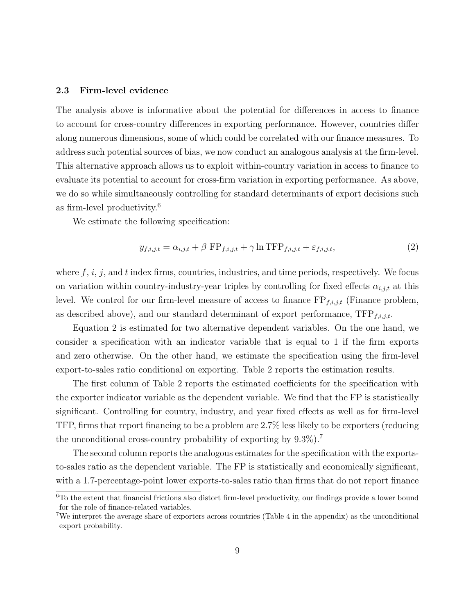#### 2.3 Firm-level evidence

The analysis above is informative about the potential for differences in access to finance to account for cross-country differences in exporting performance. However, countries differ along numerous dimensions, some of which could be correlated with our finance measures. To address such potential sources of bias, we now conduct an analogous analysis at the firm-level. This alternative approach allows us to exploit within-country variation in access to finance to evaluate its potential to account for cross-firm variation in exporting performance. As above, we do so while simultaneously controlling for standard determinants of export decisions such as firm-level productivity.[6](#page-2-0)

We estimate the following specification:

<span id="page-11-0"></span>
$$
y_{f,i,j,t} = \alpha_{i,j,t} + \beta \text{ FP}_{f,i,j,t} + \gamma \ln \text{TFP}_{f,i,j,t} + \varepsilon_{f,i,j,t},\tag{2}
$$

where  $f, i, j$ , and  $t$  index firms, countries, industries, and time periods, respectively. We focus on variation within country-industry-year triples by controlling for fixed effects  $\alpha_{i,j,t}$  at this level. We control for our firm-level measure of access to finance  $FP_{f,i,j,t}$  (Finance problem, as described above), and our standard determinant of export performance,  $TFP_{f,i,j,t}$ .

Equation [2](#page-11-0) is estimated for two alternative dependent variables. On the one hand, we consider a specification with an indicator variable that is equal to 1 if the firm exports and zero otherwise. On the other hand, we estimate the specification using the firm-level export-to-sales ratio conditional on exporting. Table [2](#page-12-0) reports the estimation results.

The first column of Table [2](#page-12-0) reports the estimated coefficients for the specification with the exporter indicator variable as the dependent variable. We find that the FP is statistically significant. Controlling for country, industry, and year fixed effects as well as for firm-level TFP, firms that report financing to be a problem are 2.7% less likely to be exporters (reducing the unconditional cross-country probability of exporting by  $9.3\%$ ).<sup>[7](#page-2-0)</sup>

The second column reports the analogous estimates for the specification with the exportsto-sales ratio as the dependent variable. The FP is statistically and economically significant, with a 1.7-percentage-point lower exports-to-sales ratio than firms that do not report finance

<sup>&</sup>lt;sup>6</sup>To the extent that financial frictions also distort firm-level productivity, our findings provide a lower bound for the role of finance-related variables.

<sup>7</sup>We interpret the average share of exporters across countries (Table [4](#page-50-0) in the appendix) as the unconditional export probability.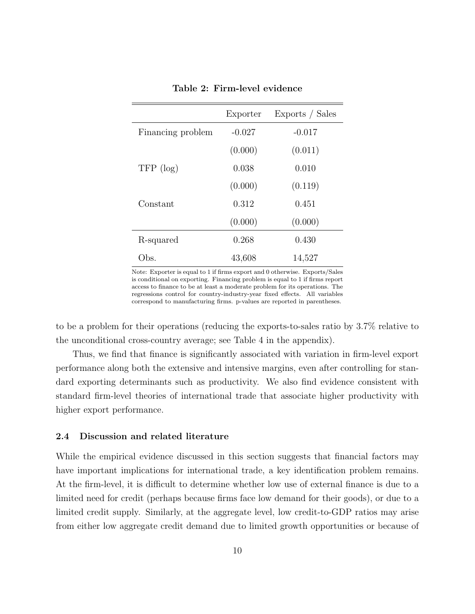<span id="page-12-0"></span>

|                   | Exporter | Exports / Sales |
|-------------------|----------|-----------------|
| Financing problem | $-0.027$ | $-0.017$        |
|                   | (0.000)  | (0.011)         |
| $TFP$ (log)       | 0.038    | 0.010           |
|                   | (0.000)  | (0.119)         |
| Constant          | 0.312    | 0.451           |
|                   | (0.000)  | (0.000)         |
| R-squared         | 0.268    | 0.430           |
| Dbs.              | 43,608   | 14,527          |

Table 2: Firm-level evidence

Note: Exporter is equal to 1 if firms export and 0 otherwise. Exports/Sales is conditional on exporting. Financing problem is equal to 1 if firms report access to finance to be at least a moderate problem for its operations. The regressions control for country-industry-year fixed effects. All variables correspond to manufacturing firms. p-values are reported in parentheses.

to be a problem for their operations (reducing the exports-to-sales ratio by 3.7% relative to the unconditional cross-country average; see Table [4](#page-50-0) in the appendix).

Thus, we find that finance is significantly associated with variation in firm-level export performance along both the extensive and intensive margins, even after controlling for standard exporting determinants such as productivity. We also find evidence consistent with standard firm-level theories of international trade that associate higher productivity with higher export performance.

#### 2.4 Discussion and related literature

While the empirical evidence discussed in this section suggests that financial factors may have important implications for international trade, a key identification problem remains. At the firm-level, it is difficult to determine whether low use of external finance is due to a limited need for credit (perhaps because firms face low demand for their goods), or due to a limited credit supply. Similarly, at the aggregate level, low credit-to-GDP ratios may arise from either low aggregate credit demand due to limited growth opportunities or because of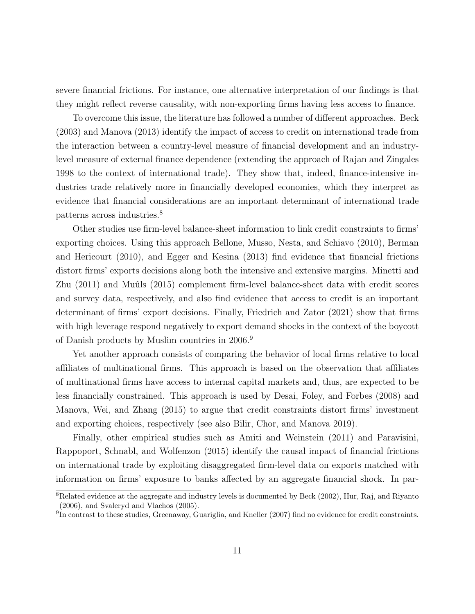severe financial frictions. For instance, one alternative interpretation of our findings is that they might reflect reverse causality, with non-exporting firms having less access to finance.

To overcome this issue, the literature has followed a number of different approaches. [Beck](#page-44-1) [\(2003\)](#page-44-1) and [Manova](#page-47-6) [\(2013\)](#page-47-6) identify the impact of access to credit on international trade from the interaction between a country-level measure of financial development and an industrylevel measure of external finance dependence (extending the approach of [Rajan and Zingales](#page-48-4) [1998](#page-48-4) to the context of international trade). They show that, indeed, finance-intensive industries trade relatively more in financially developed economies, which they interpret as evidence that financial considerations are an important determinant of international trade patterns across industries.[8](#page-2-0)

Other studies use firm-level balance-sheet information to link credit constraints to firms' exporting choices. Using this approach [Bellone, Musso, Nesta, and Schiavo](#page-44-4) [\(2010\)](#page-44-4), [Berman](#page-44-5) [and Hericourt](#page-44-5) [\(2010\)](#page-44-5), and [Egger and Kesina](#page-46-7) [\(2013\)](#page-46-7) find evidence that financial frictions distort firms' exports decisions along both the intensive and extensive margins. [Minetti and](#page-47-7) [Zhu](#page-47-7) [\(2011\)](#page-47-7) and Muûls [\(2015\)](#page-48-5) complement firm-level balance-sheet data with credit scores and survey data, respectively, and also find evidence that access to credit is an important determinant of firms' export decisions. Finally, [Friedrich and Zator](#page-46-8) [\(2021\)](#page-46-8) show that firms with high leverage respond negatively to export demand shocks in the context of the boycott of Danish products by Muslim countries in 2006.[9](#page-2-0)

Yet another approach consists of comparing the behavior of local firms relative to local affiliates of multinational firms. This approach is based on the observation that affiliates of multinational firms have access to internal capital markets and, thus, are expected to be less financially constrained. This approach is used by [Desai, Foley, and Forbes](#page-45-8) [\(2008\)](#page-45-8) and [Manova, Wei, and Zhang](#page-47-8) [\(2015\)](#page-47-8) to argue that credit constraints distort firms' investment and exporting choices, respectively (see also [Bilir, Chor, and Manova 2019\)](#page-44-6).

Finally, other empirical studies such as [Amiti and Weinstein](#page-43-1) [\(2011\)](#page-43-1) and [Paravisini,](#page-48-6) [Rappoport, Schnabl, and Wolfenzon](#page-48-6) [\(2015\)](#page-48-6) identify the causal impact of financial frictions on international trade by exploiting disaggregated firm-level data on exports matched with information on firms' exposure to banks affected by an aggregate financial shock. In par-

<sup>8</sup>Related evidence at the aggregate and industry levels is documented by [Beck](#page-44-7) [\(2002\)](#page-44-7), [Hur, Raj, and Riyanto](#page-47-9) [\(2006\)](#page-47-9), and [Svaleryd and Vlachos](#page-48-7) [\(2005\)](#page-48-7).

<sup>&</sup>lt;sup>9</sup>In contrast to these studies, [Greenaway, Guariglia, and Kneller](#page-46-9) [\(2007\)](#page-46-9) find no evidence for credit constraints.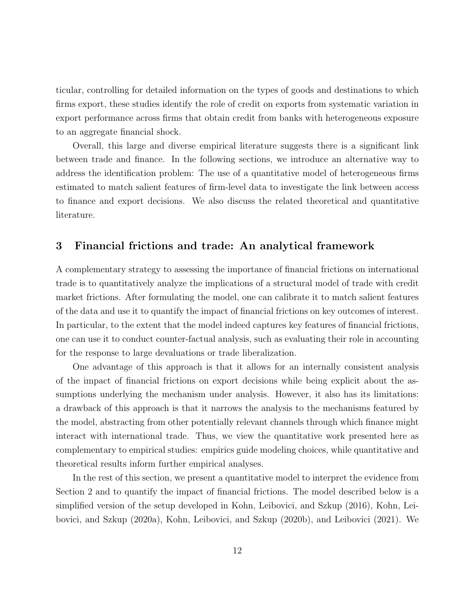ticular, controlling for detailed information on the types of goods and destinations to which firms export, these studies identify the role of credit on exports from systematic variation in export performance across firms that obtain credit from banks with heterogeneous exposure to an aggregate financial shock.

Overall, this large and diverse empirical literature suggests there is a significant link between trade and finance. In the following sections, we introduce an alternative way to address the identification problem: The use of a quantitative model of heterogeneous firms estimated to match salient features of firm-level data to investigate the link between access to finance and export decisions. We also discuss the related theoretical and quantitative literature.

## 3 Financial frictions and trade: An analytical framework

A complementary strategy to assessing the importance of financial frictions on international trade is to quantitatively analyze the implications of a structural model of trade with credit market frictions. After formulating the model, one can calibrate it to match salient features of the data and use it to quantify the impact of financial frictions on key outcomes of interest. In particular, to the extent that the model indeed captures key features of financial frictions, one can use it to conduct counter-factual analysis, such as evaluating their role in accounting for the response to large devaluations or trade liberalization.

One advantage of this approach is that it allows for an internally consistent analysis of the impact of financial frictions on export decisions while being explicit about the assumptions underlying the mechanism under analysis. However, it also has its limitations: a drawback of this approach is that it narrows the analysis to the mechanisms featured by the model, abstracting from other potentially relevant channels through which finance might interact with international trade. Thus, we view the quantitative work presented here as complementary to empirical studies: empirics guide modeling choices, while quantitative and theoretical results inform further empirical analyses.

In the rest of this section, we present a quantitative model to interpret the evidence from Section 2 and to quantify the impact of financial frictions. The model described below is a simplified version of the setup developed in [Kohn, Leibovici, and Szkup](#page-47-1) [\(2016\)](#page-47-1), [Kohn, Lei](#page-47-2)[bovici, and Szkup](#page-47-2) [\(2020a\)](#page-47-2), [Kohn, Leibovici, and Szkup](#page-47-3) [\(2020b\)](#page-47-3), and [Leibovici](#page-47-4) [\(2021\)](#page-47-4). We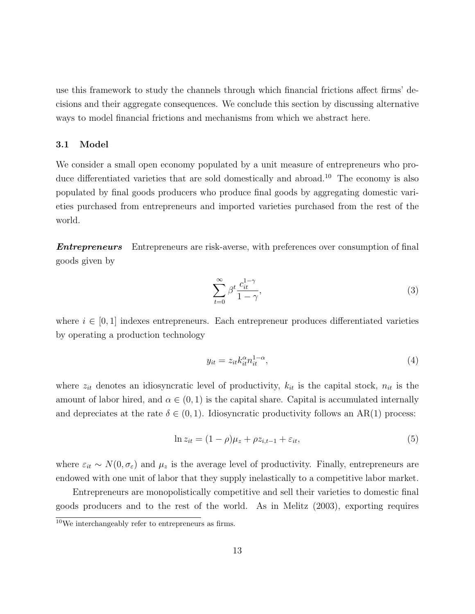use this framework to study the channels through which financial frictions affect firms' decisions and their aggregate consequences. We conclude this section by discussing alternative ways to model financial frictions and mechanisms from which we abstract here.

#### <span id="page-15-0"></span>3.1 Model

We consider a small open economy populated by a unit measure of entrepreneurs who pro-duce differentiated varieties that are sold domestically and abroad.<sup>[10](#page-2-0)</sup> The economy is also populated by final goods producers who produce final goods by aggregating domestic varieties purchased from entrepreneurs and imported varieties purchased from the rest of the world.

**Entrepreneurs** Entrepreneurs are risk-averse, with preferences over consumption of final goods given by

$$
\sum_{t=0}^{\infty} \beta^t \frac{c_{it}^{1-\gamma}}{1-\gamma},\tag{3}
$$

where  $i \in [0, 1]$  indexes entrepreneurs. Each entrepreneur produces differentiated varieties by operating a production technology

$$
y_{it} = z_{it} k_{it}^{\alpha} n_{it}^{1-\alpha},\tag{4}
$$

where  $z_{it}$  denotes an idiosyncratic level of productivity,  $k_{it}$  is the capital stock,  $n_{it}$  is the amount of labor hired, and  $\alpha \in (0,1)$  is the capital share. Capital is accumulated internally and depreciates at the rate  $\delta \in (0,1)$ . Idiosyncratic productivity follows an AR(1) process:

$$
\ln z_{it} = (1 - \rho)\mu_z + \rho z_{i,t-1} + \varepsilon_{it},\tag{5}
$$

where  $\varepsilon_{it} \sim N(0, \sigma_{\varepsilon})$  and  $\mu_z$  is the average level of productivity. Finally, entrepreneurs are endowed with one unit of labor that they supply inelastically to a competitive labor market.

Entrepreneurs are monopolistically competitive and sell their varieties to domestic final goods producers and to the rest of the world. As in [Melitz](#page-47-5) [\(2003\)](#page-47-5), exporting requires

<sup>&</sup>lt;sup>10</sup>We interchangeably refer to entrepreneurs as firms.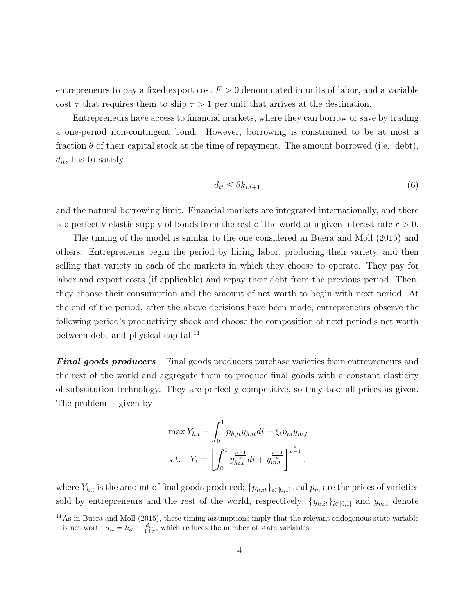entrepreneurs to pay a fixed export cost  $F > 0$  denominated in units of labor, and a variable cost  $\tau$  that requires them to ship  $\tau > 1$  per unit that arrives at the destination.

Entrepreneurs have access to financial markets, where they can borrow or save by trading a one-period non-contingent bond. However, borrowing is constrained to be at most a fraction  $\theta$  of their capital stock at the time of repayment. The amount borrowed (i.e., debt),  $d_{it}$ , has to satisfy

<span id="page-16-0"></span>
$$
d_{it} \le \theta k_{i,t+1} \tag{6}
$$

and the natural borrowing limit. Financial markets are integrated internationally, and there is a perfectly elastic supply of bonds from the rest of the world at a given interest rate  $r > 0$ .

The timing of the model is similar to the one considered in [Buera and Moll](#page-45-9) [\(2015\)](#page-45-9) and others. Entrepreneurs begin the period by hiring labor, producing their variety, and then selling that variety in each of the markets in which they choose to operate. They pay for labor and export costs (if applicable) and repay their debt from the previous period. Then, they choose their consumption and the amount of net worth to begin with next period. At the end of the period, after the above decisions have been made, entrepreneurs observe the following period's productivity shock and choose the composition of next period's net worth between debt and physical capital.<sup>[11](#page-2-0)</sup>

**Final goods producers** Final goods producers purchase varieties from entrepreneurs and the rest of the world and aggregate them to produce final goods with a constant elasticity of substitution technology. They are perfectly competitive, so they take all prices as given. The problem is given by

$$
\max Y_{h,t} - \int_0^1 p_{h,it} y_{h,it} di - \xi_t p_m y_{m,t}
$$
  
s.t. 
$$
Y_t = \left[ \int_0^1 y_{h,t}^{\frac{\sigma - 1}{\sigma}} di + y_{m,t}^{\frac{\sigma - 1}{\sigma}} \right]^{\frac{\sigma}{\sigma - 1}},
$$

where  $Y_{h,t}$  is the amount of final goods produced;  $\{p_{h,it}\}_{i\in[0,1]}$  and  $p_m$  are the prices of varieties sold by entrepreneurs and the rest of the world, respectively;  $\{y_{h,i}t\}_{i\in[0,1]}$  and  $y_{m,t}$  denote

 $\frac{11}{11}$ As in [Buera and Moll](#page-45-9) [\(2015\)](#page-45-9), these timing assumptions imply that the relevant endogenous state variable is net worth  $a_{it} = k_{it} - \frac{d_{it}}{1+r}$ , which reduces the number of state variables.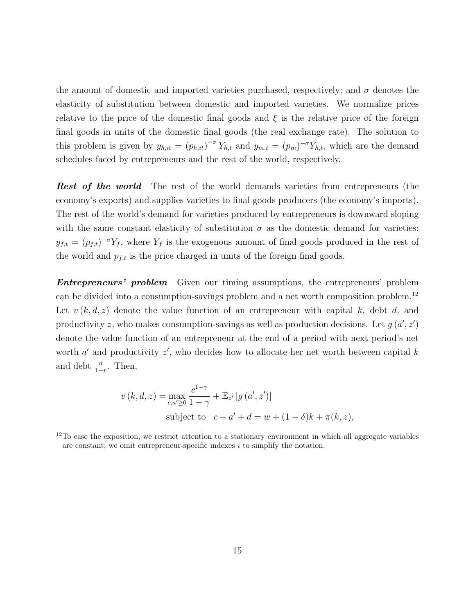the amount of domestic and imported varieties purchased, respectively; and  $\sigma$  denotes the elasticity of substitution between domestic and imported varieties. We normalize prices relative to the price of the domestic final goods and  $\xi$  is the relative price of the foreign final goods in units of the domestic final goods (the real exchange rate). The solution to this problem is given by  $y_{h, it} = (p_{h, it})^{-\sigma} Y_{h, t}$  and  $y_{m, t} = (p_m)^{-\sigma} Y_{h, t}$ , which are the demand schedules faced by entrepreneurs and the rest of the world, respectively.

**Rest of the world** The rest of the world demands varieties from entrepreneurs (the economy's exports) and supplies varieties to final goods producers (the economy's imports). The rest of the world's demand for varieties produced by entrepreneurs is downward sloping with the same constant elasticity of substitution  $\sigma$  as the domestic demand for varieties:  $y_{f,t} = (p_{f,t})^{-\sigma} Y_f$ , where  $Y_f$  is the exogenous amount of final goods produced in the rest of the world and  $p_{f,t}$  is the price charged in units of the foreign final goods.

**Entrepreneurs' problem** Given our timing assumptions, the entrepreneurs' problem can be divided into a consumption-savings problem and a net worth composition problem.[12](#page-2-0) Let  $v(k, d, z)$  denote the value function of an entrepreneur with capital k, debt d, and productivity z, who makes consumption-savings as well as production decisions. Let  $g(a', z')$ denote the value function of an entrepreneur at the end of a period with next period's net worth  $a'$  and productivity  $z'$ , who decides how to allocate her net worth between capital k and debt  $\frac{d}{1+r}$ . Then,

$$
v(k, d, z) = \max_{c, a' \ge 0} \frac{c^{1-\gamma}}{1-\gamma} + \mathbb{E}_{z'}[g(a', z')]
$$
  
subject to  $c + a' + d = w + (1 - \delta)k + \pi(k, z),$ 

 $12$ To ease the exposition, we restrict attention to a stationary environment in which all aggregate variables are constant; we omit entrepreneur-specific indexes  $i$  to simplify the notation.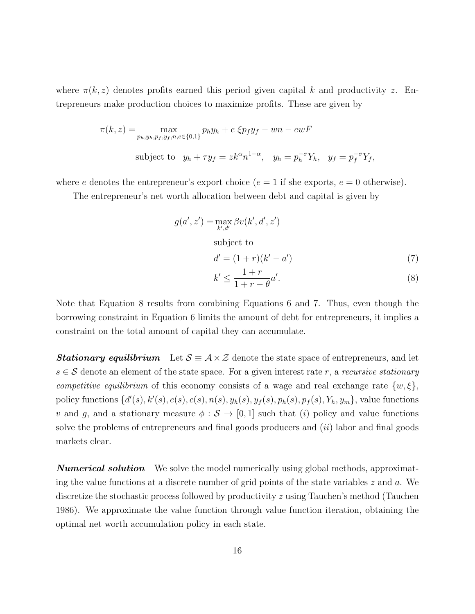where  $\pi(k, z)$  denotes profits earned this period given capital k and productivity z. Entrepreneurs make production choices to maximize profits. These are given by

$$
\pi(k, z) = \max_{p_h, y_h, p_f, y_f, n, e \in \{0, 1\}} p_h y_h + e \xi p_f y_f - wn - ewF
$$
  
subject to  $y_h + \tau y_f = zk^{\alpha} n^{1-\alpha}, \quad y_h = p_h^{-\sigma} Y_h, \quad y_f = p_f^{-\sigma} Y_f,$ 

where e denotes the entrepreneur's export choice ( $e = 1$  if she exports,  $e = 0$  otherwise).

The entrepreneur's net worth allocation between debt and capital is given by

$$
g(a',z') = \max_{k',d'} \beta v(k',d',z')
$$

subject to

<span id="page-18-1"></span>
$$
d' = (1+r)(k'-a') \tag{7}
$$

<span id="page-18-0"></span>
$$
k' \le \frac{1+r}{1+r-\theta}a'.\tag{8}
$$

Note that Equation [8](#page-18-0) results from combining Equations [6](#page-16-0) and [7.](#page-18-1) Thus, even though the borrowing constraint in Equation [6](#page-16-0) limits the amount of debt for entrepreneurs, it implies a constraint on the total amount of capital they can accumulate.

**Stationary equilibrium** Let  $S \equiv A \times \mathcal{Z}$  denote the state space of entrepreneurs, and let  $s \in \mathcal{S}$  denote an element of the state space. For a given interest rate r, a recursive stationary competitive equilibrium of this economy consists of a wage and real exchange rate  $\{w, \xi\}$ , policy functions  $\{d'(s), k'(s), e(s), c(s), n(s), y_h(s), y_f(s), p_h(s), p_f(s), Y_h, y_m\}$ , value functions v and g, and a stationary measure  $\phi : \mathcal{S} \to [0, 1]$  such that (i) policy and value functions solve the problems of entrepreneurs and final goods producers and  $(ii)$  labor and final goods markets clear.

<span id="page-18-2"></span>**Numerical solution** We solve the model numerically using global methods, approximating the value functions at a discrete number of grid points of the state variables  $z$  and  $a$ . We discretize the stochastic process followed by productivity z using Tauchen's method [\(Tauchen](#page-48-8) [1986\)](#page-48-8). We approximate the value function through value function iteration, obtaining the optimal net worth accumulation policy in each state.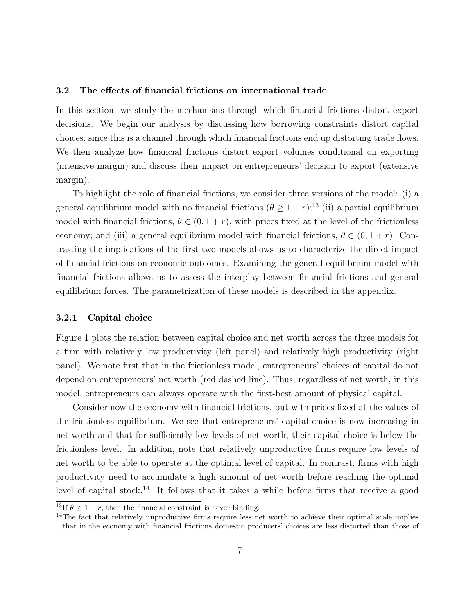#### 3.2 The effects of financial frictions on international trade

In this section, we study the mechanisms through which financial frictions distort export decisions. We begin our analysis by discussing how borrowing constraints distort capital choices, since this is a channel through which financial frictions end up distorting trade flows. We then analyze how financial frictions distort export volumes conditional on exporting (intensive margin) and discuss their impact on entrepreneurs' decision to export (extensive margin).

To highlight the role of financial frictions, we consider three versions of the model: (i) a general equilibrium model with no financial frictions  $(\theta \geq 1+r)$ ;<sup>[13](#page-2-0)</sup> (ii) a partial equilibrium model with financial frictions,  $\theta \in (0, 1 + r)$ , with prices fixed at the level of the frictionless economy; and (iii) a general equilibrium model with financial frictions,  $\theta \in (0, 1 + r)$ . Contrasting the implications of the first two models allows us to characterize the direct impact of financial frictions on economic outcomes. Examining the general equilibrium model with financial frictions allows us to assess the interplay between financial frictions and general equilibrium forces. The parametrization of these models is described in the appendix.

#### 3.2.1 Capital choice

Figure [1](#page-20-0) plots the relation between capital choice and net worth across the three models for a firm with relatively low productivity (left panel) and relatively high productivity (right panel). We note first that in the frictionless model, entrepreneurs' choices of capital do not depend on entrepreneurs' net worth (red dashed line). Thus, regardless of net worth, in this model, entrepreneurs can always operate with the first-best amount of physical capital.

Consider now the economy with financial frictions, but with prices fixed at the values of the frictionless equilibrium. We see that entrepreneurs' capital choice is now increasing in net worth and that for sufficiently low levels of net worth, their capital choice is below the frictionless level. In addition, note that relatively unproductive firms require low levels of net worth to be able to operate at the optimal level of capital. In contrast, firms with high productivity need to accumulate a high amount of net worth before reaching the optimal level of capital stock.<sup>[14](#page-2-0)</sup> It follows that it takes a while before firms that receive a good

<sup>&</sup>lt;sup>13</sup>If  $\theta \geq 1 + r$ , then the financial constraint is never binding.

<sup>&</sup>lt;sup>14</sup>The fact that relatively unproductive firms require less net worth to achieve their optimal scale implies that in the economy with financial frictions domestic producers' choices are less distorted than those of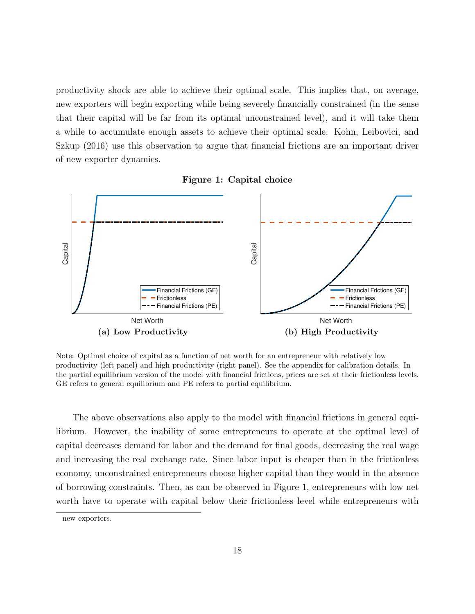productivity shock are able to achieve their optimal scale. This implies that, on average, new exporters will begin exporting while being severely financially constrained (in the sense that their capital will be far from its optimal unconstrained level), and it will take them a while to accumulate enough assets to achieve their optimal scale. [Kohn, Leibovici, and](#page-47-1) [Szkup](#page-47-1) [\(2016\)](#page-47-1) use this observation to argue that financial frictions are an important driver of new exporter dynamics.



<span id="page-20-0"></span>

Note: Optimal choice of capital as a function of net worth for an entrepreneur with relatively low productivity (left panel) and high productivity (right panel). See the appendix for calibration details. In the partial equilibrium version of the model with financial frictions, prices are set at their frictionless levels. GE refers to general equilibrium and PE refers to partial equilibrium.

The above observations also apply to the model with financial frictions in general equilibrium. However, the inability of some entrepreneurs to operate at the optimal level of capital decreases demand for labor and the demand for final goods, decreasing the real wage and increasing the real exchange rate. Since labor input is cheaper than in the frictionless economy, unconstrained entrepreneurs choose higher capital than they would in the absence of borrowing constraints. Then, as can be observed in Figure [1,](#page-20-0) entrepreneurs with low net worth have to operate with capital below their frictionless level while entrepreneurs with

new exporters.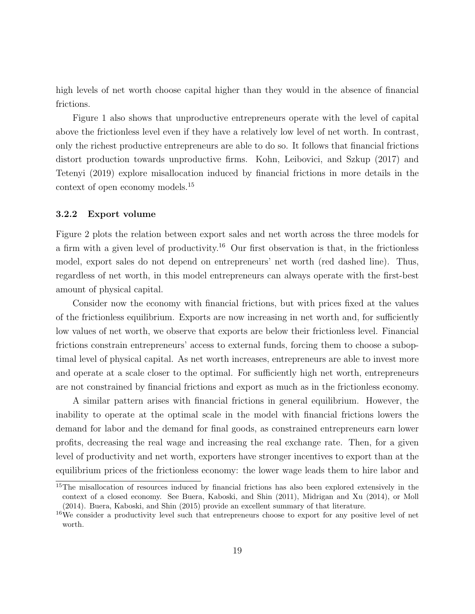high levels of net worth choose capital higher than they would in the absence of financial frictions.

Figure [1](#page-20-0) also shows that unproductive entrepreneurs operate with the level of capital above the frictionless level even if they have a relatively low level of net worth. In contrast, only the richest productive entrepreneurs are able to do so. It follows that financial frictions distort production towards unproductive firms. [Kohn, Leibovici, and Szkup](#page-47-10) [\(2017\)](#page-47-10) and [Tetenyi](#page-48-9) [\(2019\)](#page-48-9) explore misallocation induced by financial frictions in more details in the context of open economy models.[15](#page-2-0)

#### <span id="page-21-0"></span>3.2.2 Export volume

Figure [2](#page-22-0) plots the relation between export sales and net worth across the three models for a firm with a given level of productivity.<sup>[16](#page-2-0)</sup> Our first observation is that, in the frictionless model, export sales do not depend on entrepreneurs' net worth (red dashed line). Thus, regardless of net worth, in this model entrepreneurs can always operate with the first-best amount of physical capital.

Consider now the economy with financial frictions, but with prices fixed at the values of the frictionless equilibrium. Exports are now increasing in net worth and, for sufficiently low values of net worth, we observe that exports are below their frictionless level. Financial frictions constrain entrepreneurs' access to external funds, forcing them to choose a suboptimal level of physical capital. As net worth increases, entrepreneurs are able to invest more and operate at a scale closer to the optimal. For sufficiently high net worth, entrepreneurs are not constrained by financial frictions and export as much as in the frictionless economy.

A similar pattern arises with financial frictions in general equilibrium. However, the inability to operate at the optimal scale in the model with financial frictions lowers the demand for labor and the demand for final goods, as constrained entrepreneurs earn lower profits, decreasing the real wage and increasing the real exchange rate. Then, for a given level of productivity and net worth, exporters have stronger incentives to export than at the equilibrium prices of the frictionless economy: the lower wage leads them to hire labor and

<sup>15</sup>The misallocation of resources induced by financial frictions has also been explored extensively in the context of a closed economy. See [Buera, Kaboski, and Shin](#page-44-8) [\(2011\)](#page-44-8), [Midrigan and Xu](#page-47-11) [\(2014\)](#page-47-11), or [Moll](#page-48-10) [\(2014\)](#page-48-10). [Buera, Kaboski, and Shin](#page-44-2) [\(2015\)](#page-44-2) provide an excellent summary of that literature.

<sup>&</sup>lt;sup>16</sup>We consider a productivity level such that entrepreneurs choose to export for any positive level of net worth.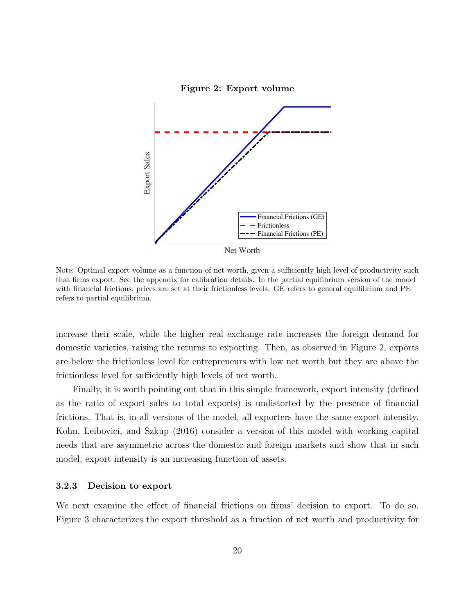<span id="page-22-0"></span>

Note: Optimal export volume as a function of net worth, given a sufficiently high level of productivity such that firms export. See the appendix for calibration details. In the partial equilibrium version of the model with financial frictions, prices are set at their frictionless levels. GE refers to general equilibrium and PE refers to partial equilibrium.

increase their scale, while the higher real exchange rate increases the foreign demand for domestic varieties, raising the returns to exporting. Then, as observed in Figure [2,](#page-22-0) exports are below the frictionless level for entrepreneurs with low net worth but they are above the frictionless level for sufficiently high levels of net worth.

Finally, it is worth pointing out that in this simple framework, export intensity (defined as the ratio of export sales to total exports) is undistorted by the presence of financial frictions. That is, in all versions of the model, all exporters have the same export intensity. [Kohn, Leibovici, and Szkup](#page-47-1) [\(2016\)](#page-47-1) consider a version of this model with working capital needs that are asymmetric across the domestic and foreign markets and show that in such model, export intensity is an increasing function of assets.

#### 3.2.3 Decision to export

We next examine the effect of financial frictions on firms' decision to export. To do so, Figure [3](#page-23-0) characterizes the export threshold as a function of net worth and productivity for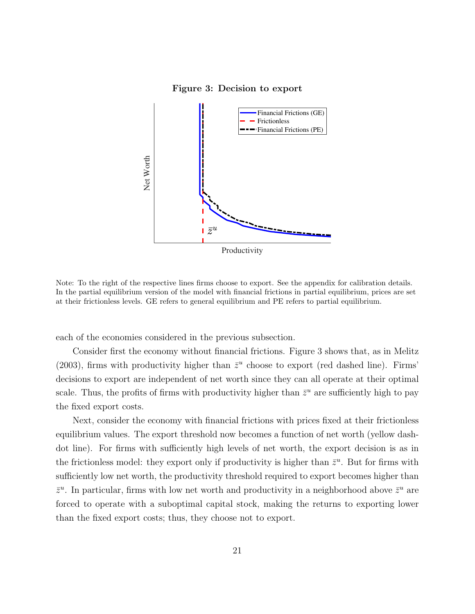#### Figure 3: Decision to export

<span id="page-23-0"></span>

Note: To the right of the respective lines firms choose to export. See the appendix for calibration details. In the partial equilibrium version of the model with financial frictions in partial equilibrium, prices are set at their frictionless levels. GE refers to general equilibrium and PE refers to partial equilibrium.

each of the economies considered in the previous subsection.

Consider first the economy without financial frictions. Figure [3](#page-23-0) shows that, as in [Melitz](#page-47-5) [\(2003\)](#page-47-5), firms with productivity higher than  $\bar{z}^u$  choose to export (red dashed line). Firms' decisions to export are independent of net worth since they can all operate at their optimal scale. Thus, the profits of firms with productivity higher than  $\bar{z}^u$  are sufficiently high to pay the fixed export costs.

Next, consider the economy with financial frictions with prices fixed at their frictionless equilibrium values. The export threshold now becomes a function of net worth (yellow dashdot line). For firms with sufficiently high levels of net worth, the export decision is as in the frictionless model: they export only if productivity is higher than  $\bar{z}^u$ . But for firms with sufficiently low net worth, the productivity threshold required to export becomes higher than  $\bar{z}^u$ . In particular, firms with low net worth and productivity in a neighborhood above  $\bar{z}^u$  are forced to operate with a suboptimal capital stock, making the returns to exporting lower than the fixed export costs; thus, they choose not to export.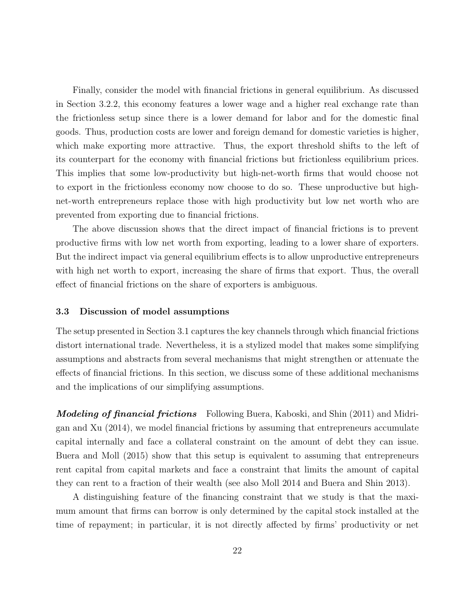Finally, consider the model with financial frictions in general equilibrium. As discussed in Section [3.2.2,](#page-21-0) this economy features a lower wage and a higher real exchange rate than the frictionless setup since there is a lower demand for labor and for the domestic final goods. Thus, production costs are lower and foreign demand for domestic varieties is higher, which make exporting more attractive. Thus, the export threshold shifts to the left of its counterpart for the economy with financial frictions but frictionless equilibrium prices. This implies that some low-productivity but high-net-worth firms that would choose not to export in the frictionless economy now choose to do so. These unproductive but highnet-worth entrepreneurs replace those with high productivity but low net worth who are prevented from exporting due to financial frictions.

The above discussion shows that the direct impact of financial frictions is to prevent productive firms with low net worth from exporting, leading to a lower share of exporters. But the indirect impact via general equilibrium effects is to allow unproductive entrepreneurs with high net worth to export, increasing the share of firms that export. Thus, the overall effect of financial frictions on the share of exporters is ambiguous.

#### 3.3 Discussion of model assumptions

The setup presented in Section [3.1](#page-15-0) captures the key channels through which financial frictions distort international trade. Nevertheless, it is a stylized model that makes some simplifying assumptions and abstracts from several mechanisms that might strengthen or attenuate the effects of financial frictions. In this section, we discuss some of these additional mechanisms and the implications of our simplifying assumptions.

**Modeling of financial frictions** Following [Buera, Kaboski, and Shin](#page-44-8) [\(2011\)](#page-44-8) and [Midri](#page-47-11)[gan and Xu](#page-47-11) [\(2014\)](#page-47-11), we model financial frictions by assuming that entrepreneurs accumulate capital internally and face a collateral constraint on the amount of debt they can issue. [Buera and Moll](#page-45-9) [\(2015\)](#page-45-9) show that this setup is equivalent to assuming that entrepreneurs rent capital from capital markets and face a constraint that limits the amount of capital they can rent to a fraction of their wealth (see also [Moll 2014](#page-48-10) and [Buera and Shin 2013\)](#page-45-10).

A distinguishing feature of the financing constraint that we study is that the maximum amount that firms can borrow is only determined by the capital stock installed at the time of repayment; in particular, it is not directly affected by firms' productivity or net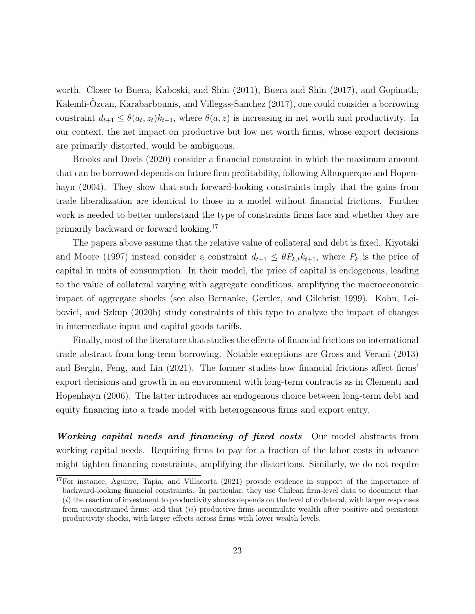worth. Closer to [Buera, Kaboski, and Shin](#page-44-8) [\(2011\)](#page-44-8), [Buera and Shin](#page-45-11) [\(2017\)](#page-45-11), and [Gopinath,](#page-46-10) Kalemli-Özcan, Karabarbounis, and Villegas-Sanchez [\(2017\)](#page-46-10), one could consider a borrowing constraint  $d_{t+1} \leq \theta(a_t, z_t) k_{t+1}$ , where  $\theta(a, z)$  is increasing in net worth and productivity. In our context, the net impact on productive but low net worth firms, whose export decisions are primarily distorted, would be ambiguous.

[Brooks and Dovis](#page-44-9) [\(2020\)](#page-44-9) consider a financial constraint in which the maximum amount that can be borrowed depends on future firm profitability, following [Albuquerque and Hopen](#page-43-6)[hayn](#page-43-6) [\(2004\)](#page-43-6). They show that such forward-looking constraints imply that the gains from trade liberalization are identical to those in a model without financial frictions. Further work is needed to better understand the type of constraints firms face and whether they are primarily backward or forward looking.[17](#page-2-0)

The papers above assume that the relative value of collateral and debt is fixed. [Kiyotaki](#page-47-12) [and Moore](#page-47-12) [\(1997\)](#page-47-12) instead consider a constraint  $d_{t+1} \leq \theta P_{k,t} k_{t+1}$ , where  $P_k$  is the price of capital in units of consumption. In their model, the price of capital is endogenous, leading to the value of collateral varying with aggregate conditions, amplifying the macroeconomic impact of aggregate shocks (see also [Bernanke, Gertler, and Gilchrist 1999\)](#page-44-10). [Kohn, Lei](#page-47-3)[bovici, and Szkup](#page-47-3) [\(2020b\)](#page-47-3) study constraints of this type to analyze the impact of changes in intermediate input and capital goods tariffs.

Finally, most of the literature that studies the effects of financial frictions on international trade abstract from long-term borrowing. Notable exceptions are [Gross and Verani](#page-46-11) [\(2013\)](#page-46-11) and [Bergin, Feng, and Lin](#page-44-11) [\(2021\)](#page-44-11). The former studies how financial frictions affect firms' export decisions and growth in an environment with long-term contracts as in [Clementi and](#page-45-6) [Hopenhayn](#page-45-6) [\(2006\)](#page-45-6). The latter introduces an endogenous choice between long-term debt and equity financing into a trade model with heterogeneous firms and export entry.

Working capital needs and financing of fixed costs Our model abstracts from working capital needs. Requiring firms to pay for a fraction of the labor costs in advance might tighten financing constraints, amplifying the distortions. Similarly, we do not require

<sup>&</sup>lt;sup>17</sup>For instance, [Aguirre, Tapia, and Villacorta](#page-43-9) [\(2021\)](#page-43-9) provide evidence in support of the importance of backward-looking financial constraints. In particular, they use Chilean firm-level data to document that  $(i)$  the reaction of investment to productivity shocks depends on the level of collateral, with larger responses from unconstrained firms; and that  $(ii)$  productive firms accumulate wealth after positive and persistent productivity shocks, with larger effects across firms with lower wealth levels.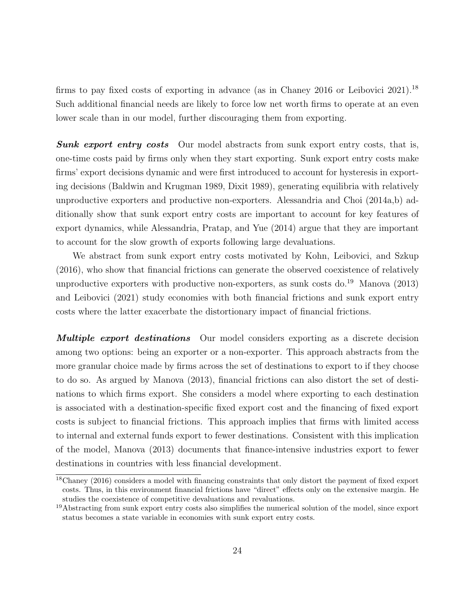firms to pay fixed costs of exporting in advance (as in [Chaney 2016](#page-45-12) or [Leibovici 2021\)](#page-47-4).<sup>[18](#page-2-0)</sup> Such additional financial needs are likely to force low net worth firms to operate at an even lower scale than in our model, further discouraging them from exporting.

**Sunk export entry costs** Our model abstracts from sunk export entry costs, that is, one-time costs paid by firms only when they start exporting. Sunk export entry costs make firms' export decisions dynamic and were first introduced to account for hysteresis in exporting decisions [\(Baldwin and Krugman 1989,](#page-44-0) [Dixit 1989\)](#page-45-2), generating equilibria with relatively unproductive exporters and productive non-exporters. [Alessandria and Choi](#page-43-8) [\(2014a](#page-43-8)[,b\)](#page-43-10) additionally show that sunk export entry costs are important to account for key features of export dynamics, while [Alessandria, Pratap, and Yue](#page-43-5) [\(2014\)](#page-43-5) argue that they are important to account for the slow growth of exports following large devaluations.

We abstract from sunk export entry costs motivated by [Kohn, Leibovici, and Szkup](#page-47-1) [\(2016\)](#page-47-1), who show that financial frictions can generate the observed coexistence of relatively unproductive exporters with productive non-exporters, as sunk costs do.<sup>[19](#page-2-0)</sup> [Manova](#page-47-6) [\(2013\)](#page-47-6) and [Leibovici](#page-47-4) [\(2021\)](#page-47-4) study economies with both financial frictions and sunk export entry costs where the latter exacerbate the distortionary impact of financial frictions.

**Multiple export destinations** Our model considers exporting as a discrete decision among two options: being an exporter or a non-exporter. This approach abstracts from the more granular choice made by firms across the set of destinations to export to if they choose to do so. As argued by [Manova](#page-47-6) [\(2013\)](#page-47-6), financial frictions can also distort the set of destinations to which firms export. She considers a model where exporting to each destination is associated with a destination-specific fixed export cost and the financing of fixed export costs is subject to financial frictions. This approach implies that firms with limited access to internal and external funds export to fewer destinations. Consistent with this implication of the model, [Manova](#page-47-6) [\(2013\)](#page-47-6) documents that finance-intensive industries export to fewer destinations in countries with less financial development.

<sup>18</sup>[Chaney](#page-45-12) [\(2016\)](#page-45-12) considers a model with financing constraints that only distort the payment of fixed export costs. Thus, in this environment financial frictions have "direct" effects only on the extensive margin. He studies the coexistence of competitive devaluations and revaluations.

<sup>&</sup>lt;sup>19</sup>Abstracting from sunk export entry costs also simplifies the numerical solution of the model, since export status becomes a state variable in economies with sunk export entry costs.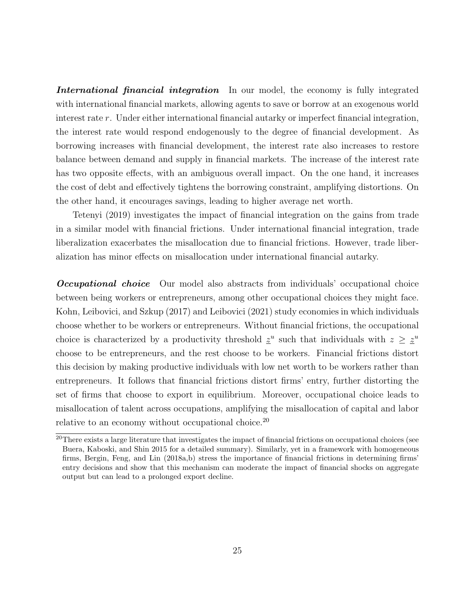International financial integration In our model, the economy is fully integrated with international financial markets, allowing agents to save or borrow at an exogenous world interest rate r. Under either international financial autarky or imperfect financial integration, the interest rate would respond endogenously to the degree of financial development. As borrowing increases with financial development, the interest rate also increases to restore balance between demand and supply in financial markets. The increase of the interest rate has two opposite effects, with an ambiguous overall impact. On the one hand, it increases the cost of debt and effectively tightens the borrowing constraint, amplifying distortions. On the other hand, it encourages savings, leading to higher average net worth.

[Tetenyi](#page-48-9) [\(2019\)](#page-48-9) investigates the impact of financial integration on the gains from trade in a similar model with financial frictions. Under international financial integration, trade liberalization exacerbates the misallocation due to financial frictions. However, trade liberalization has minor effects on misallocation under international financial autarky.

**Occupational choice** Our model also abstracts from individuals' occupational choice between being workers or entrepreneurs, among other occupational choices they might face. [Kohn, Leibovici, and Szkup](#page-47-10) [\(2017\)](#page-47-10) and [Leibovici](#page-47-4) [\(2021\)](#page-47-4) study economies in which individuals choose whether to be workers or entrepreneurs. Without financial frictions, the occupational choice is characterized by a productivity threshold  $\underline{z}^u$  such that individuals with  $z \geq \underline{z}^u$ choose to be entrepreneurs, and the rest choose to be workers. Financial frictions distort this decision by making productive individuals with low net worth to be workers rather than entrepreneurs. It follows that financial frictions distort firms' entry, further distorting the set of firms that choose to export in equilibrium. Moreover, occupational choice leads to misallocation of talent across occupations, amplifying the misallocation of capital and labor relative to an economy without occupational choice.<sup>[20](#page-2-0)</sup>

<sup>&</sup>lt;sup>20</sup>There exists a large literature that investigates the impact of financial frictions on occupational choices (see [Buera, Kaboski, and Shin 2015](#page-44-2) for a detailed summary). Similarly, yet in a framework with homogeneous firms, [Bergin, Feng, and Lin](#page-44-12) [\(2018a,](#page-44-12)[b\)](#page-44-13) stress the importance of financial frictions in determining firms' entry decisions and show that this mechanism can moderate the impact of financial shocks on aggregate output but can lead to a prolonged export decline.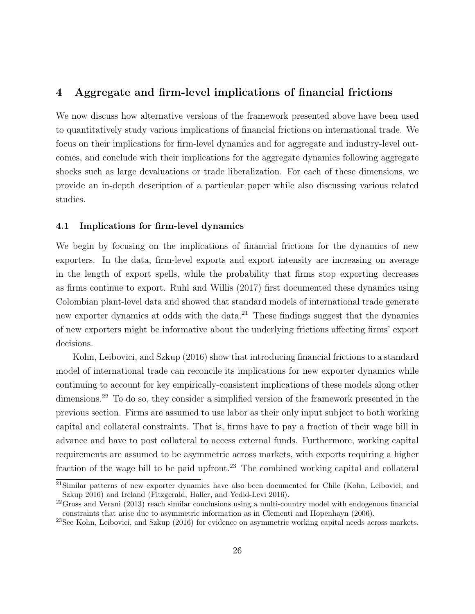## 4 Aggregate and firm-level implications of financial frictions

We now discuss how alternative versions of the framework presented above have been used to quantitatively study various implications of financial frictions on international trade. We focus on their implications for firm-level dynamics and for aggregate and industry-level outcomes, and conclude with their implications for the aggregate dynamics following aggregate shocks such as large devaluations or trade liberalization. For each of these dimensions, we provide an in-depth description of a particular paper while also discussing various related studies.

#### 4.1 Implications for firm-level dynamics

We begin by focusing on the implications of financial frictions for the dynamics of new exporters. In the data, firm-level exports and export intensity are increasing on average in the length of export spells, while the probability that firms stop exporting decreases as firms continue to export. [Ruhl and Willis](#page-48-1) [\(2017\)](#page-48-1) first documented these dynamics using Colombian plant-level data and showed that standard models of international trade generate new exporter dynamics at odds with the data.<sup>[21](#page-2-0)</sup> These findings suggest that the dynamics of new exporters might be informative about the underlying frictions affecting firms' export decisions.

[Kohn, Leibovici, and Szkup](#page-47-1) [\(2016\)](#page-47-1) show that introducing financial frictions to a standard model of international trade can reconcile its implications for new exporter dynamics while continuing to account for key empirically-consistent implications of these models along other dimensions.<sup>[22](#page-2-0)</sup> To do so, they consider a simplified version of the framework presented in the previous section. Firms are assumed to use labor as their only input subject to both working capital and collateral constraints. That is, firms have to pay a fraction of their wage bill in advance and have to post collateral to access external funds. Furthermore, working capital requirements are assumed to be asymmetric across markets, with exports requiring a higher fraction of the wage bill to be paid upfront.<sup>[23](#page-2-0)</sup> The combined working capital and collateral

 $21$ Similar patterns of new exporter dynamics have also been documented for Chile [\(Kohn, Leibovici, and](#page-47-1) [Szkup 2016\)](#page-47-1) and Ireland [\(Fitzgerald, Haller, and Yedid-Levi 2016\)](#page-46-12).

 $22G$ ross and Verani [\(2013\)](#page-46-11) reach similar conclusions using a multi-country model with endogenous financial constraints that arise due to asymmetric information as in [Clementi and Hopenhayn](#page-45-6) [\(2006\)](#page-45-6).

<sup>23</sup>See [Kohn, Leibovici, and Szkup](#page-47-1) [\(2016\)](#page-47-1) for evidence on asymmetric working capital needs across markets.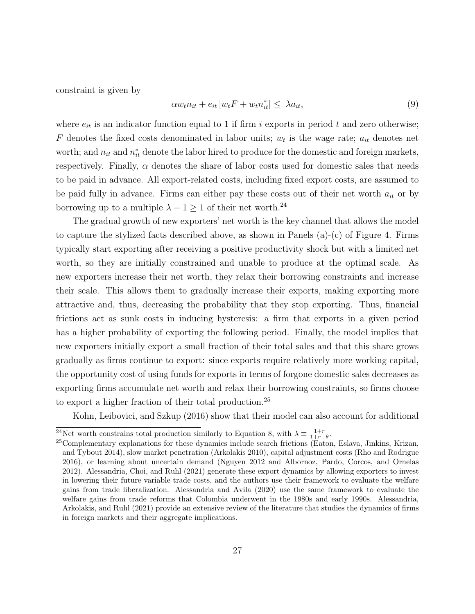constraint is given by

$$
\alpha w_t n_{it} + e_{it} \left[ w_t F + w_t n_{it}^* \right] \leq \lambda a_{it},\tag{9}
$$

where  $e_{it}$  is an indicator function equal to 1 if firm i exports in period t and zero otherwise; F denotes the fixed costs denominated in labor units;  $w_t$  is the wage rate;  $a_{it}$  denotes net worth; and  $n_{it}$  and  $n_{it}^*$  denote the labor hired to produce for the domestic and foreign markets, respectively. Finally,  $\alpha$  denotes the share of labor costs used for domestic sales that needs to be paid in advance. All export-related costs, including fixed export costs, are assumed to be paid fully in advance. Firms can either pay these costs out of their net worth  $a_{it}$  or by borrowing up to a multiple  $\lambda - 1 \geq 1$  of their net worth.<sup>[24](#page-2-0)</sup>

The gradual growth of new exporters' net worth is the key channel that allows the model to capture the stylized facts described above, as shown in Panels  $(a)-(c)$  of Figure [4.](#page-30-0) Firms typically start exporting after receiving a positive productivity shock but with a limited net worth, so they are initially constrained and unable to produce at the optimal scale. As new exporters increase their net worth, they relax their borrowing constraints and increase their scale. This allows them to gradually increase their exports, making exporting more attractive and, thus, decreasing the probability that they stop exporting. Thus, financial frictions act as sunk costs in inducing hysteresis: a firm that exports in a given period has a higher probability of exporting the following period. Finally, the model implies that new exporters initially export a small fraction of their total sales and that this share grows gradually as firms continue to export: since exports require relatively more working capital, the opportunity cost of using funds for exports in terms of forgone domestic sales decreases as exporting firms accumulate net worth and relax their borrowing constraints, so firms choose to export a higher fraction of their total production.[25](#page-2-0)

[Kohn, Leibovici, and Szkup](#page-47-1) [\(2016\)](#page-47-1) show that their model can also account for additional

<sup>&</sup>lt;sup>24</sup>Net worth constrains total production similarly to Equation [8,](#page-18-0) with  $\lambda \equiv \frac{1+r}{1+r-\theta}$ .

<sup>&</sup>lt;sup>25</sup>Complementary explanations for these dynamics include search frictions [\(Eaton, Eslava, Jinkins, Krizan,](#page-45-13) [and Tybout 2014\)](#page-45-13), slow market penetration [\(Arkolakis 2010\)](#page-44-14), capital adjustment costs [\(Rho and Rodrigue](#page-48-11) [2016\)](#page-48-11), or learning about uncertain demand [\(Nguyen 2012](#page-48-12) and [Albornoz, Pardo, Corcos, and Ornelas](#page-43-11) [2012\)](#page-43-11). [Alessandria, Choi, and Ruhl](#page-43-12) [\(2021\)](#page-43-12) generate these export dynamics by allowing exporters to invest in lowering their future variable trade costs, and the authors use their framework to evaluate the welfare gains from trade liberalization. [Alessandria and Avila](#page-43-13) [\(2020\)](#page-43-13) use the same framework to evaluate the welfare gains from trade reforms that Colombia underwent in the 1980s and early 1990s. [Alessandria,](#page-43-14) [Arkolakis, and Ruhl](#page-43-14) [\(2021\)](#page-43-14) provide an extensive review of the literature that studies the dynamics of firms in foreign markets and their aggregate implications.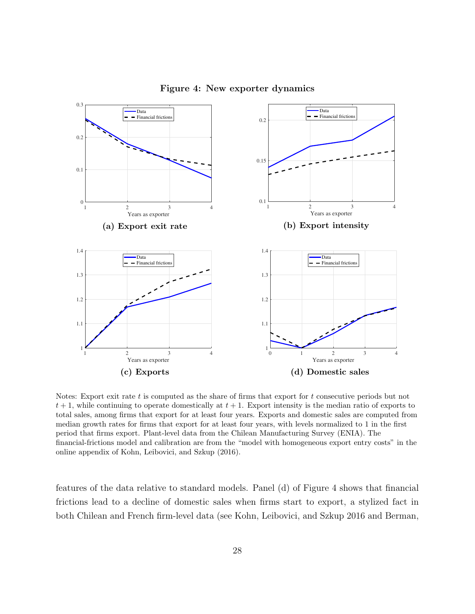<span id="page-30-0"></span>

Figure 4: New exporter dynamics

Notes: Export exit rate  $t$  is computed as the share of firms that export for  $t$  consecutive periods but not  $t + 1$ , while continuing to operate domestically at  $t + 1$ . Export intensity is the median ratio of exports to total sales, among firms that export for at least four years. Exports and domestic sales are computed from median growth rates for firms that export for at least four years, with levels normalized to 1 in the first period that firms export. Plant-level data from the Chilean Manufacturing Survey (ENIA). The financial-frictions model and calibration are from the "model with homogeneous export entry costs" in the online appendix of [Kohn, Leibovici, and Szkup](#page-47-1) [\(2016\)](#page-47-1).

features of the data relative to standard models. Panel (d) of Figure [4](#page-30-0) shows that financial frictions lead to a decline of domestic sales when firms start to export, a stylized fact in both Chilean and French firm-level data (see [Kohn, Leibovici, and Szkup 2016](#page-47-1) and [Berman,](#page-44-15)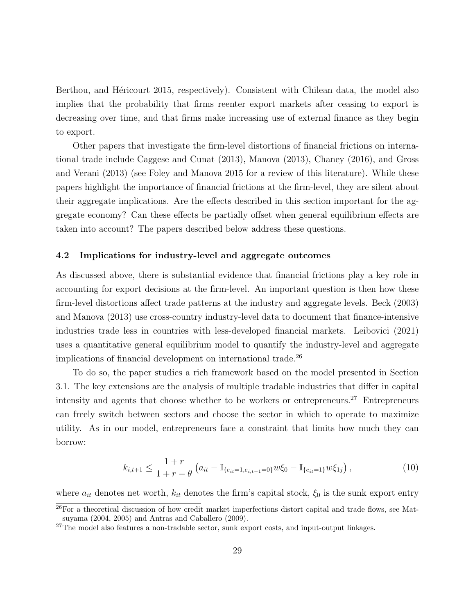Berthou, and Héricourt 2015, respectively). Consistent with Chilean data, the model also implies that the probability that firms reenter export markets after ceasing to export is decreasing over time, and that firms make increasing use of external finance as they begin to export.

Other papers that investigate the firm-level distortions of financial frictions on international trade include [Caggese and Cunat](#page-45-14) [\(2013\)](#page-45-14), [Manova](#page-47-6) [\(2013\)](#page-47-6), [Chaney](#page-45-12) [\(2016\)](#page-45-12), and [Gross](#page-46-11) [and Verani](#page-46-11) [\(2013\)](#page-46-11) (see [Foley and Manova 2015](#page-46-4) for a review of this literature). While these papers highlight the importance of financial frictions at the firm-level, they are silent about their aggregate implications. Are the effects described in this section important for the aggregate economy? Can these effects be partially offset when general equilibrium effects are taken into account? The papers described below address these questions.

#### 4.2 Implications for industry-level and aggregate outcomes

As discussed above, there is substantial evidence that financial frictions play a key role in accounting for export decisions at the firm-level. An important question is then how these firm-level distortions affect trade patterns at the industry and aggregate levels. [Beck](#page-44-1) [\(2003\)](#page-44-1) and [Manova](#page-47-6) [\(2013\)](#page-47-6) use cross-country industry-level data to document that finance-intensive industries trade less in countries with less-developed financial markets. [Leibovici](#page-47-4) [\(2021\)](#page-47-4) uses a quantitative general equilibrium model to quantify the industry-level and aggregate implications of financial development on international trade.<sup>[26](#page-2-0)</sup>

To do so, the paper studies a rich framework based on the model presented in Section [3.1.](#page-15-0) The key extensions are the analysis of multiple tradable industries that differ in capital intensity and agents that choose whether to be workers or entrepreneurs.<sup>[27](#page-2-0)</sup> Entrepreneurs can freely switch between sectors and choose the sector in which to operate to maximize utility. As in our model, entrepreneurs face a constraint that limits how much they can borrow:

$$
k_{i,t+1} \le \frac{1+r}{1+r-\theta} \left( a_{it} - \mathbb{I}_{\{e_{it}=1,e_{i,t-1}=0\}} w \xi_0 - \mathbb{I}_{\{e_{it}=1\}} w \xi_{1j} \right),\tag{10}
$$

where  $a_{it}$  denotes net worth,  $k_{it}$  denotes the firm's capital stock,  $\xi_0$  is the sunk export entry

<sup>26</sup>For a theoretical discussion of how credit market imperfections distort capital and trade flows, see [Mat](#page-47-13)[suyama](#page-47-13) [\(2004,](#page-47-13) [2005\)](#page-47-14) and [Antras and Caballero](#page-43-15) [\(2009\)](#page-43-15).

 $27$ The model also features a non-tradable sector, sunk export costs, and input-output linkages.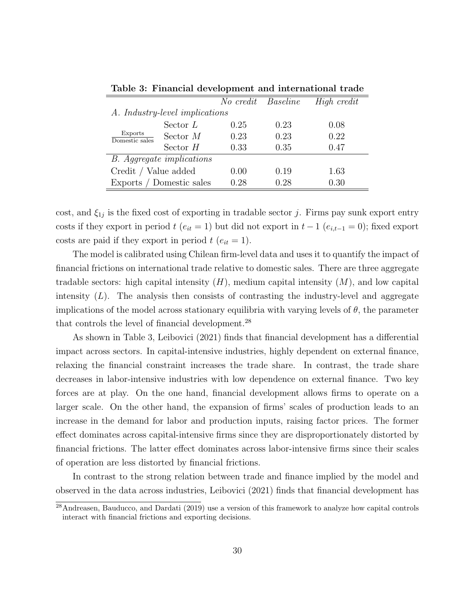<span id="page-32-0"></span>

|                                  |                          | No credit Baseline |      | High credit |  |
|----------------------------------|--------------------------|--------------------|------|-------------|--|
| A. Industry-level implications   |                          |                    |      |             |  |
| Exports<br>Domestic sales        | Sector $L$               | 0.25               | 0.23 | 0.08        |  |
|                                  | Sector $M$               | 0.23               | 0.23 | 0.22        |  |
|                                  | Sector $H$               | 0.33               | 0.35 | 0.47        |  |
| <b>B.</b> Aggregate implications |                          |                    |      |             |  |
| Credit / Value added             |                          | 0.00               | 0.19 | 1.63        |  |
|                                  | Exports / Domestic sales | 0.28               | 0.28 | 0.30        |  |

Table [3:](#page-32-0) Financial development and international trade

cost, and  $\xi_{1j}$  is the fixed cost of exporting in tradable sector j. Firms pay sunk export entry costs if they export in period  $t$  ( $e_{it} = 1$ ) but did not export in  $t - 1$  ( $e_{i,t-1} = 0$ ); fixed export costs are paid if they export in period  $t$  ( $e_{it} = 1$ ).

The model is calibrated using Chilean firm-level data and uses it to quantify the impact of financial frictions on international trade relative to domestic sales. There are three aggregate tradable sectors: high capital intensity  $(H)$ , medium capital intensity  $(M)$ , and low capital intensity  $(L)$ . The analysis then consists of contrasting the industry-level and aggregate implications of the model across stationary equilibria with varying levels of  $\theta$ , the parameter that controls the level of financial development.<sup>[28](#page-2-0)</sup>

As shown in Table [3,](#page-32-0) [Leibovici](#page-47-4) [\(2021\)](#page-47-4) finds that financial development has a differential impact across sectors. In capital-intensive industries, highly dependent on external finance, relaxing the financial constraint increases the trade share. In contrast, the trade share decreases in labor-intensive industries with low dependence on external finance. Two key forces are at play. On the one hand, financial development allows firms to operate on a larger scale. On the other hand, the expansion of firms' scales of production leads to an increase in the demand for labor and production inputs, raising factor prices. The former effect dominates across capital-intensive firms since they are disproportionately distorted by financial frictions. The latter effect dominates across labor-intensive firms since their scales of operation are less distorted by financial frictions.

In contrast to the strong relation between trade and finance implied by the model and observed in the data across industries, [Leibovici](#page-47-4) [\(2021\)](#page-47-4) finds that financial development has

 $\sqrt{\frac{28}{28}}$ [Andreasen, Bauducco, and Dardati](#page-43-16) [\(2019\)](#page-43-16) use a version of this framework to analyze how capital controls interact with financial frictions and exporting decisions.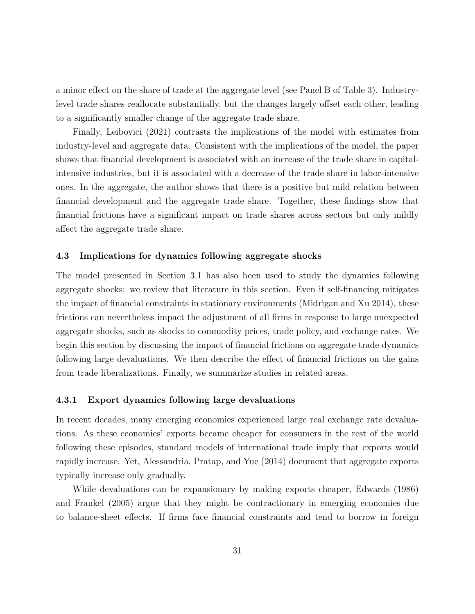a minor effect on the share of trade at the aggregate level (see Panel B of Table [3\)](#page-32-0). Industrylevel trade shares reallocate substantially, but the changes largely offset each other, leading to a significantly smaller change of the aggregate trade share.

Finally, [Leibovici](#page-47-4) [\(2021\)](#page-47-4) contrasts the implications of the model with estimates from industry-level and aggregate data. Consistent with the implications of the model, the paper shows that financial development is associated with an increase of the trade share in capitalintensive industries, but it is associated with a decrease of the trade share in labor-intensive ones. In the aggregate, the author shows that there is a positive but mild relation between financial development and the aggregate trade share. Together, these findings show that financial frictions have a significant impact on trade shares across sectors but only mildly affect the aggregate trade share.

#### 4.3 Implications for dynamics following aggregate shocks

The model presented in Section [3.1](#page-15-0) has also been used to study the dynamics following aggregate shocks: we review that literature in this section. Even if self-financing mitigates the impact of financial constraints in stationary environments [\(Midrigan and Xu 2014\)](#page-47-11), these frictions can nevertheless impact the adjustment of all firms in response to large unexpected aggregate shocks, such as shocks to commodity prices, trade policy, and exchange rates. We begin this section by discussing the impact of financial frictions on aggregate trade dynamics following large devaluations. We then describe the effect of financial frictions on the gains from trade liberalizations. Finally, we summarize studies in related areas.

#### 4.3.1 Export dynamics following large devaluations

In recent decades, many emerging economies experienced large real exchange rate devaluations. As these economies' exports became cheaper for consumers in the rest of the world following these episodes, standard models of international trade imply that exports would rapidly increase. Yet, [Alessandria, Pratap, and Yue](#page-43-5) [\(2014\)](#page-43-5) document that aggregate exports typically increase only gradually.

While devaluations can be expansionary by making exports cheaper, [Edwards](#page-45-3) [\(1986\)](#page-45-3) and [Frankel](#page-46-3) [\(2005\)](#page-46-3) argue that they might be contractionary in emerging economies due to balance-sheet effects. If firms face financial constraints and tend to borrow in foreign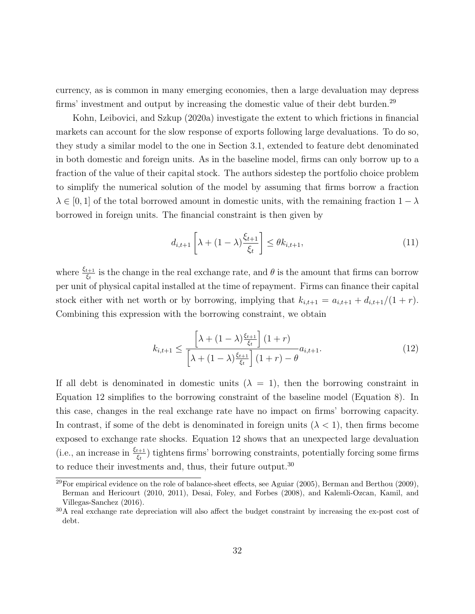currency, as is common in many emerging economies, then a large devaluation may depress firms' investment and output by increasing the domestic value of their debt burden.<sup>[29](#page-2-0)</sup>

[Kohn, Leibovici, and Szkup](#page-47-2) [\(2020a\)](#page-47-2) investigate the extent to which frictions in financial markets can account for the slow response of exports following large devaluations. To do so, they study a similar model to the one in Section [3.1,](#page-15-0) extended to feature debt denominated in both domestic and foreign units. As in the baseline model, firms can only borrow up to a fraction of the value of their capital stock. The authors sidestep the portfolio choice problem to simplify the numerical solution of the model by assuming that firms borrow a fraction  $\lambda \in [0, 1]$  of the total borrowed amount in domestic units, with the remaining fraction  $1 - \lambda$ borrowed in foreign units. The financial constraint is then given by

<span id="page-34-0"></span>
$$
d_{i,t+1}\left[\lambda + (1-\lambda)\frac{\xi_{t+1}}{\xi_t}\right] \le \theta k_{i,t+1},\tag{11}
$$

where  $\frac{\xi_{t+1}}{\xi_t}$  is the change in the real exchange rate, and  $\theta$  is the amount that firms can borrow per unit of physical capital installed at the time of repayment. Firms can finance their capital stock either with net worth or by borrowing, implying that  $k_{i,t+1} = a_{i,t+1} + d_{i,t+1}/(1+r)$ . Combining this expression with the borrowing constraint, we obtain

$$
k_{i,t+1} \le \frac{\left[\lambda + (1-\lambda)\frac{\xi_{t+1}}{\xi_t}\right](1+r)}{\left[\lambda + (1-\lambda)\frac{\xi_{t+1}}{\xi_t}\right](1+r) - \theta} a_{i,t+1}.
$$
\n(12)

If all debt is denominated in domestic units  $(\lambda = 1)$ , then the borrowing constraint in Equation [12](#page-34-0) simplifies to the borrowing constraint of the baseline model (Equation [8\)](#page-18-0). In this case, changes in the real exchange rate have no impact on firms' borrowing capacity. In contrast, if some of the debt is denominated in foreign units  $(\lambda < 1)$ , then firms become exposed to exchange rate shocks. Equation [12](#page-34-0) shows that an unexpected large devaluation (i.e., an increase in  $\frac{\xi_{t+1}}{\xi_t}$ ) tightens firms' borrowing constraints, potentially forcing some firms to reduce their investments and, thus, their future output.<sup>[30](#page-2-0)</sup>

 $\frac{29}{29}$ For empirical evidence on the role of balance-sheet effects, see [Aguiar](#page-43-4) [\(2005\)](#page-43-4), [Berman and Berthou](#page-44-16) [\(2009\)](#page-44-16). [Berman and Hericourt](#page-44-5) [\(2010,](#page-44-5) [2011\)](#page-44-17), [Desai, Foley, and Forbes](#page-45-8) [\(2008\)](#page-45-8), and [Kalemli-Ozcan, Kamil, and](#page-47-15) [Villegas-Sanchez](#page-47-15) [\(2016\)](#page-47-15).

<sup>30</sup>A real exchange rate depreciation will also affect the budget constraint by increasing the ex-post cost of debt.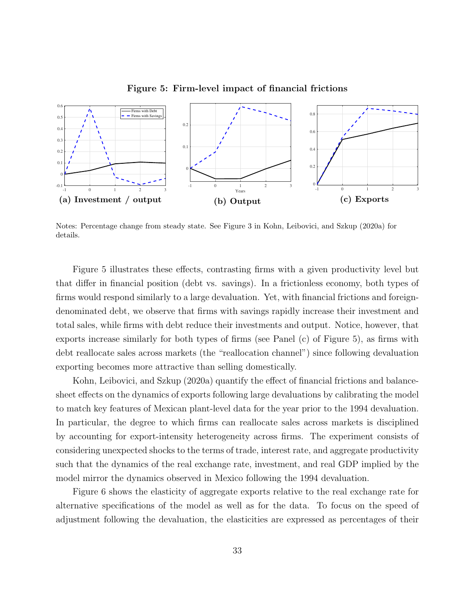<span id="page-35-0"></span>

Figure 5: Firm-level impact of financial frictions

Notes: Percentage change from steady state. See Figure 3 in [Kohn, Leibovici, and Szkup](#page-47-2) [\(2020a\)](#page-47-2) for details.

Figure [5](#page-35-0) illustrates these effects, contrasting firms with a given productivity level but that differ in financial position (debt vs. savings). In a frictionless economy, both types of firms would respond similarly to a large devaluation. Yet, with financial frictions and foreigndenominated debt, we observe that firms with savings rapidly increase their investment and total sales, while firms with debt reduce their investments and output. Notice, however, that exports increase similarly for both types of firms (see Panel (c) of Figure [5\)](#page-35-0), as firms with debt reallocate sales across markets (the "reallocation channel") since following devaluation exporting becomes more attractive than selling domestically.

[Kohn, Leibovici, and Szkup](#page-47-2) [\(2020a\)](#page-47-2) quantify the effect of financial frictions and balancesheet effects on the dynamics of exports following large devaluations by calibrating the model to match key features of Mexican plant-level data for the year prior to the 1994 devaluation. In particular, the degree to which firms can reallocate sales across markets is disciplined by accounting for export-intensity heterogeneity across firms. The experiment consists of considering unexpected shocks to the terms of trade, interest rate, and aggregate productivity such that the dynamics of the real exchange rate, investment, and real GDP implied by the model mirror the dynamics observed in Mexico following the 1994 devaluation.

Figure [6](#page-36-0) shows the elasticity of aggregate exports relative to the real exchange rate for alternative specifications of the model as well as for the data. To focus on the speed of adjustment following the devaluation, the elasticities are expressed as percentages of their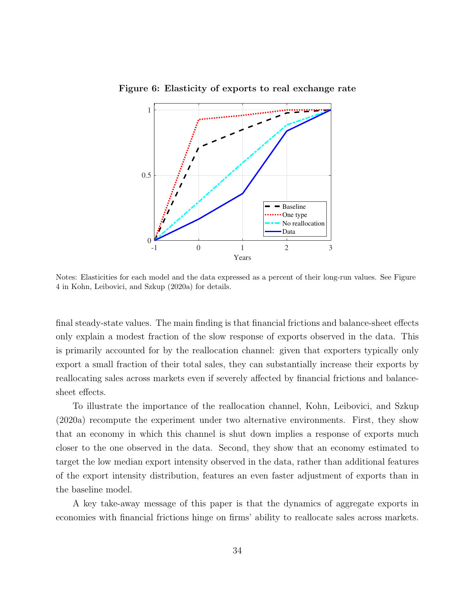

<span id="page-36-0"></span>Figure 6: Elasticity of exports to real exchange rate

Notes: Elasticities for each model and the data expressed as a percent of their long-run values. See Figure 4 in [Kohn, Leibovici, and Szkup](#page-47-2) [\(2020a\)](#page-47-2) for details.

final steady-state values. The main finding is that financial frictions and balance-sheet effects only explain a modest fraction of the slow response of exports observed in the data. This is primarily accounted for by the reallocation channel: given that exporters typically only export a small fraction of their total sales, they can substantially increase their exports by reallocating sales across markets even if severely affected by financial frictions and balancesheet effects.

To illustrate the importance of the reallocation channel, [Kohn, Leibovici, and Szkup](#page-47-2) [\(2020a\)](#page-47-2) recompute the experiment under two alternative environments. First, they show that an economy in which this channel is shut down implies a response of exports much closer to the one observed in the data. Second, they show that an economy estimated to target the low median export intensity observed in the data, rather than additional features of the export intensity distribution, features an even faster adjustment of exports than in the baseline model.

A key take-away message of this paper is that the dynamics of aggregate exports in economies with financial frictions hinge on firms' ability to reallocate sales across markets.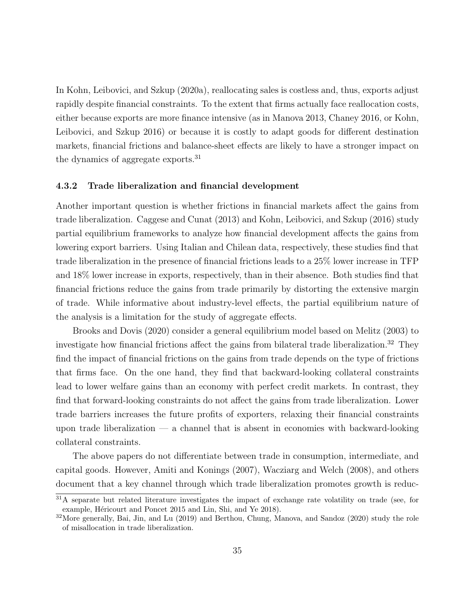In [Kohn, Leibovici, and Szkup](#page-47-2) [\(2020a\)](#page-47-2), reallocating sales is costless and, thus, exports adjust rapidly despite financial constraints. To the extent that firms actually face reallocation costs, either because exports are more finance intensive (as in [Manova 2013,](#page-47-6) [Chaney 2016,](#page-45-12) or [Kohn,](#page-47-1) [Leibovici, and Szkup 2016\)](#page-47-1) or because it is costly to adapt goods for different destination markets, financial frictions and balance-sheet effects are likely to have a stronger impact on the dynamics of aggregate exports.<sup>[31](#page-2-0)</sup>

#### 4.3.2 Trade liberalization and financial development

Another important question is whether frictions in financial markets affect the gains from trade liberalization. [Caggese and Cunat](#page-45-14) [\(2013\)](#page-45-14) and [Kohn, Leibovici, and Szkup](#page-47-1) [\(2016\)](#page-47-1) study partial equilibrium frameworks to analyze how financial development affects the gains from lowering export barriers. Using Italian and Chilean data, respectively, these studies find that trade liberalization in the presence of financial frictions leads to a 25% lower increase in TFP and 18% lower increase in exports, respectively, than in their absence. Both studies find that financial frictions reduce the gains from trade primarily by distorting the extensive margin of trade. While informative about industry-level effects, the partial equilibrium nature of the analysis is a limitation for the study of aggregate effects.

[Brooks and Dovis](#page-44-9) [\(2020\)](#page-44-9) consider a general equilibrium model based on [Melitz](#page-47-5) [\(2003\)](#page-47-5) to investigate how financial frictions affect the gains from bilateral trade liberalization.<sup>[32](#page-2-0)</sup> They find the impact of financial frictions on the gains from trade depends on the type of frictions that firms face. On the one hand, they find that backward-looking collateral constraints lead to lower welfare gains than an economy with perfect credit markets. In contrast, they find that forward-looking constraints do not affect the gains from trade liberalization. Lower trade barriers increases the future profits of exporters, relaxing their financial constraints upon trade liberalization  $-$  a channel that is absent in economies with backward-looking collateral constraints.

The above papers do not differentiate between trade in consumption, intermediate, and capital goods. However, [Amiti and Konings](#page-43-17) [\(2007\)](#page-43-17), [Wacziarg and Welch](#page-48-13) [\(2008\)](#page-48-13), and others document that a key channel through which trade liberalization promotes growth is reduc-

<sup>&</sup>lt;sup>31</sup>A separate but related literature investigates the impact of exchange rate volatility on trade (see, for example, Héricourt and Poncet 2015 and [Lin, Shi, and Ye 2018\)](#page-47-16).

<sup>&</sup>lt;sup>32</sup>More generally, [Bai, Jin, and Lu](#page-44-18) [\(2019\)](#page-44-18) and [Berthou, Chung, Manova, and Sandoz](#page-44-19) [\(2020\)](#page-44-19) study the role of misallocation in trade liberalization.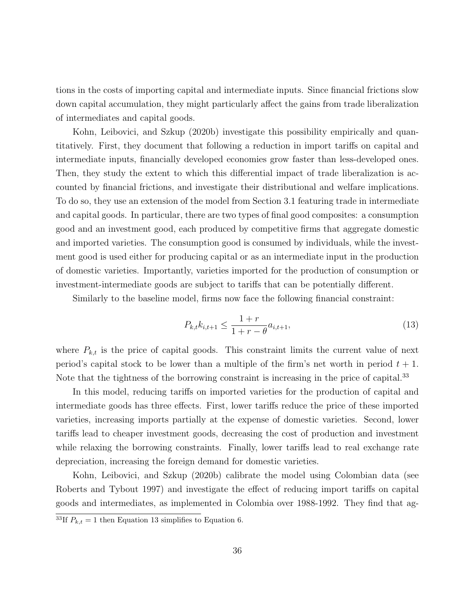tions in the costs of importing capital and intermediate inputs. Since financial frictions slow down capital accumulation, they might particularly affect the gains from trade liberalization of intermediates and capital goods.

[Kohn, Leibovici, and Szkup](#page-47-3) [\(2020b\)](#page-47-3) investigate this possibility empirically and quantitatively. First, they document that following a reduction in import tariffs on capital and intermediate inputs, financially developed economies grow faster than less-developed ones. Then, they study the extent to which this differential impact of trade liberalization is accounted by financial frictions, and investigate their distributional and welfare implications. To do so, they use an extension of the model from Section [3.1](#page-15-0) featuring trade in intermediate and capital goods. In particular, there are two types of final good composites: a consumption good and an investment good, each produced by competitive firms that aggregate domestic and imported varieties. The consumption good is consumed by individuals, while the investment good is used either for producing capital or as an intermediate input in the production of domestic varieties. Importantly, varieties imported for the production of consumption or investment-intermediate goods are subject to tariffs that can be potentially different.

Similarly to the baseline model, firms now face the following financial constraint:

<span id="page-38-0"></span>
$$
P_{k,t}k_{i,t+1} \le \frac{1+r}{1+r-\theta}a_{i,t+1},\tag{13}
$$

where  $P_{k,t}$  is the price of capital goods. This constraint limits the current value of next period's capital stock to be lower than a multiple of the firm's net worth in period  $t + 1$ . Note that the tightness of the borrowing constraint is increasing in the price of capital.<sup>[33](#page-2-0)</sup>

In this model, reducing tariffs on imported varieties for the production of capital and intermediate goods has three effects. First, lower tariffs reduce the price of these imported varieties, increasing imports partially at the expense of domestic varieties. Second, lower tariffs lead to cheaper investment goods, decreasing the cost of production and investment while relaxing the borrowing constraints. Finally, lower tariffs lead to real exchange rate depreciation, increasing the foreign demand for domestic varieties.

[Kohn, Leibovici, and Szkup](#page-47-3) [\(2020b\)](#page-47-3) calibrate the model using Colombian data (see [Roberts and Tybout 1997\)](#page-48-0) and investigate the effect of reducing import tariffs on capital goods and intermediates, as implemented in Colombia over 1988-1992. They find that ag-

<sup>&</sup>lt;sup>33</sup>If  $P_{k,t} = 1$  then Equation [13](#page-38-0) simplifies to Equation [6.](#page-16-0)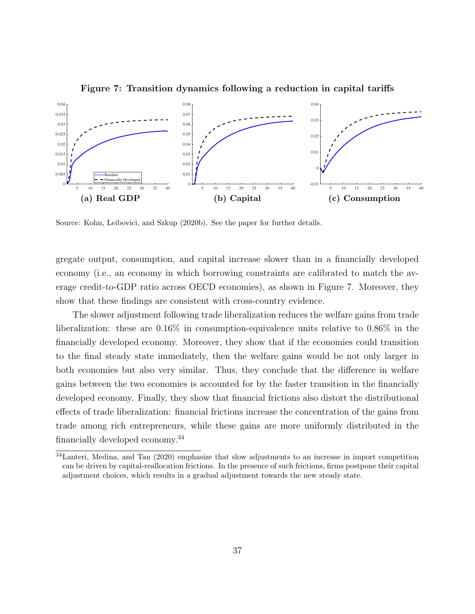<span id="page-39-0"></span>

Figure 7: Transition dynamics following a reduction in capital tariffs

Source: [Kohn, Leibovici, and Szkup](#page-47-3) [\(2020b\)](#page-47-3). See the paper for further details.

gregate output, consumption, and capital increase slower than in a financially developed economy (i.e., an economy in which borrowing constraints are calibrated to match the average credit-to-GDP ratio across OECD economies), as shown in Figure [7.](#page-39-0) Moreover, they show that these findings are consistent with cross-country evidence.

The slower adjustment following trade liberalization reduces the welfare gains from trade liberalization: these are 0.16% in consumption-equivalence units relative to 0.86% in the financially developed economy. Moreover, they show that if the economies could transition to the final steady state immediately, then the welfare gains would be not only larger in both economies but also very similar. Thus, they conclude that the difference in welfare gains between the two economies is accounted for by the faster transition in the financially developed economy. Finally, they show that financial frictions also distort the distributional effects of trade liberalization: financial frictions increase the concentration of the gains from trade among rich entrepreneurs, while these gains are more uniformly distributed in the financially developed economy.[34](#page-2-0)

<sup>34</sup>[Lanteri, Medina, and Tan](#page-47-17) [\(2020\)](#page-47-17) emphasize that slow adjustments to an increase in import competition can be driven by capital-reallocation frictions. In the presence of such frictions, firms postpone their capital adjustment choices, which results in a gradual adjustment towards the new steady state.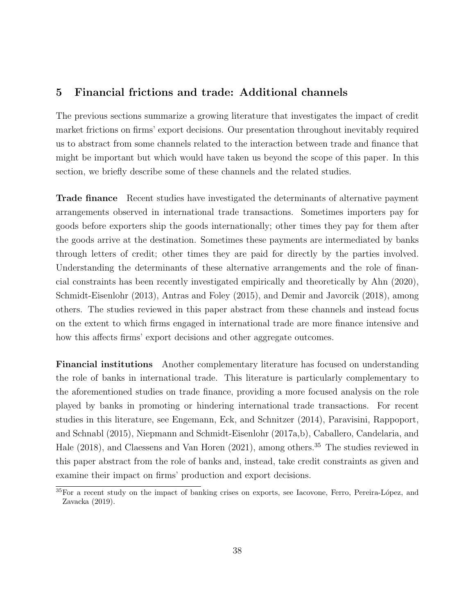## 5 Financial frictions and trade: Additional channels

The previous sections summarize a growing literature that investigates the impact of credit market frictions on firms' export decisions. Our presentation throughout inevitably required us to abstract from some channels related to the interaction between trade and finance that might be important but which would have taken us beyond the scope of this paper. In this section, we briefly describe some of these channels and the related studies.

Trade finance Recent studies have investigated the determinants of alternative payment arrangements observed in international trade transactions. Sometimes importers pay for goods before exporters ship the goods internationally; other times they pay for them after the goods arrive at the destination. Sometimes these payments are intermediated by banks through letters of credit; other times they are paid for directly by the parties involved. Understanding the determinants of these alternative arrangements and the role of financial constraints has been recently investigated empirically and theoretically by [Ahn](#page-43-2) [\(2020\)](#page-43-2), [Schmidt-Eisenlohr](#page-48-14) [\(2013\)](#page-48-14), [Antras and Foley](#page-43-18) [\(2015\)](#page-43-18), and [Demir and Javorcik](#page-45-15) [\(2018\)](#page-45-15), among others. The studies reviewed in this paper abstract from these channels and instead focus on the extent to which firms engaged in international trade are more finance intensive and how this affects firms' export decisions and other aggregate outcomes.

Financial institutions Another complementary literature has focused on understanding the role of banks in international trade. This literature is particularly complementary to the aforementioned studies on trade finance, providing a more focused analysis on the role played by banks in promoting or hindering international trade transactions. For recent studies in this literature, see [Engemann, Eck, and Schnitzer](#page-46-14) [\(2014\)](#page-46-14), [Paravisini, Rappoport,](#page-48-15) [and Schnabl](#page-48-15) [\(2015\)](#page-48-15), [Niepmann and Schmidt-Eisenlohr](#page-48-16) [\(2017a,](#page-48-16)[b\)](#page-48-17), [Caballero, Candelaria, and](#page-45-16) [Hale](#page-45-16) [\(2018\)](#page-45-16), and [Claessens and Van Horen](#page-45-17) [\(2021\)](#page-45-17), among others.<sup>[35](#page-2-0)</sup> The studies reviewed in this paper abstract from the role of banks and, instead, take credit constraints as given and examine their impact on firms' production and export decisions.

<sup>&</sup>lt;sup>35</sup>For a recent study on the impact of banking crises on exports, see Iacovone, Ferro, Pereira-López, and [Zavacka](#page-47-18) [\(2019\)](#page-47-18).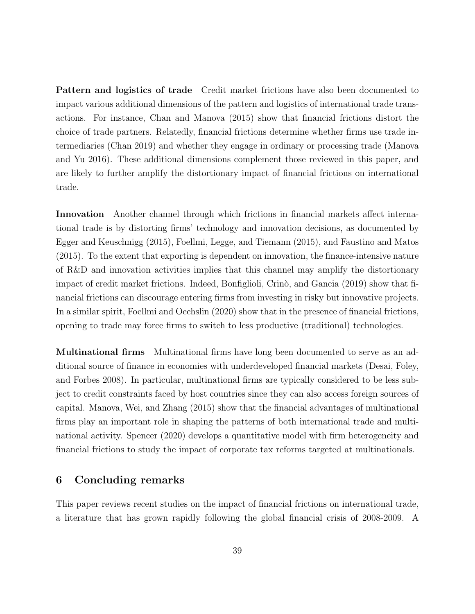Pattern and logistics of trade Credit market frictions have also been documented to impact various additional dimensions of the pattern and logistics of international trade transactions. For instance, [Chan and Manova](#page-45-18) [\(2015\)](#page-45-18) show that financial frictions distort the choice of trade partners. Relatedly, financial frictions determine whether firms use trade intermediaries [\(Chan 2019\)](#page-45-19) and whether they engage in ordinary or processing trade [\(Manova](#page-47-19) [and Yu 2016\)](#page-47-19). These additional dimensions complement those reviewed in this paper, and are likely to further amplify the distortionary impact of financial frictions on international trade.

Innovation Another channel through which frictions in financial markets affect international trade is by distorting firms' technology and innovation decisions, as documented by [Egger and Keuschnigg](#page-46-15) [\(2015\)](#page-46-15), [Foellmi, Legge, and Tiemann](#page-46-16) [\(2015\)](#page-46-16), and [Faustino and Matos](#page-46-17) [\(2015\)](#page-46-17). To the extent that exporting is dependent on innovation, the finance-intensive nature of R&D and innovation activities implies that this channel may amplify the distortionary impact of credit market frictions. Indeed, Bonfiglioli, Crinò, and Gancia [\(2019\)](#page-44-20) show that financial frictions can discourage entering firms from investing in risky but innovative projects. In a similar spirit, [Foellmi and Oechslin](#page-46-18) [\(2020\)](#page-46-18) show that in the presence of financial frictions, opening to trade may force firms to switch to less productive (traditional) technologies.

Multinational firms Multinational firms have long been documented to serve as an additional source of finance in economies with underdeveloped financial markets [\(Desai, Foley,](#page-45-8) [and Forbes 2008\)](#page-45-8). In particular, multinational firms are typically considered to be less subject to credit constraints faced by host countries since they can also access foreign sources of capital. [Manova, Wei, and Zhang](#page-47-8) [\(2015\)](#page-47-8) show that the financial advantages of multinational firms play an important role in shaping the patterns of both international trade and multinational activity. [Spencer](#page-48-18) [\(2020\)](#page-48-18) develops a quantitative model with firm heterogeneity and financial frictions to study the impact of corporate tax reforms targeted at multinationals.

## 6 Concluding remarks

This paper reviews recent studies on the impact of financial frictions on international trade, a literature that has grown rapidly following the global financial crisis of 2008-2009. A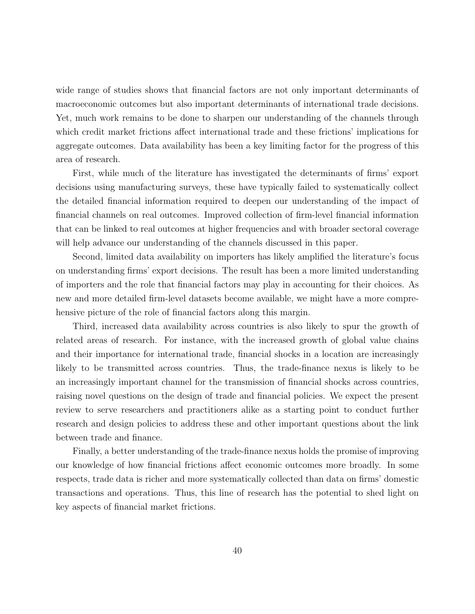wide range of studies shows that financial factors are not only important determinants of macroeconomic outcomes but also important determinants of international trade decisions. Yet, much work remains to be done to sharpen our understanding of the channels through which credit market frictions affect international trade and these frictions' implications for aggregate outcomes. Data availability has been a key limiting factor for the progress of this area of research.

First, while much of the literature has investigated the determinants of firms' export decisions using manufacturing surveys, these have typically failed to systematically collect the detailed financial information required to deepen our understanding of the impact of financial channels on real outcomes. Improved collection of firm-level financial information that can be linked to real outcomes at higher frequencies and with broader sectoral coverage will help advance our understanding of the channels discussed in this paper.

Second, limited data availability on importers has likely amplified the literature's focus on understanding firms' export decisions. The result has been a more limited understanding of importers and the role that financial factors may play in accounting for their choices. As new and more detailed firm-level datasets become available, we might have a more comprehensive picture of the role of financial factors along this margin.

Third, increased data availability across countries is also likely to spur the growth of related areas of research. For instance, with the increased growth of global value chains and their importance for international trade, financial shocks in a location are increasingly likely to be transmitted across countries. Thus, the trade-finance nexus is likely to be an increasingly important channel for the transmission of financial shocks across countries, raising novel questions on the design of trade and financial policies. We expect the present review to serve researchers and practitioners alike as a starting point to conduct further research and design policies to address these and other important questions about the link between trade and finance.

Finally, a better understanding of the trade-finance nexus holds the promise of improving our knowledge of how financial frictions affect economic outcomes more broadly. In some respects, trade data is richer and more systematically collected than data on firms' domestic transactions and operations. Thus, this line of research has the potential to shed light on key aspects of financial market frictions.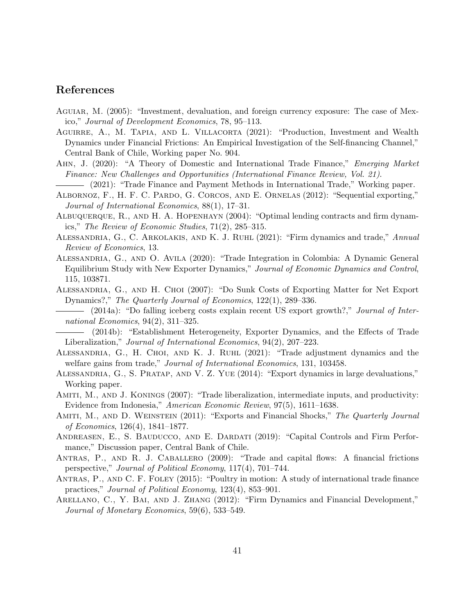## References

- <span id="page-43-4"></span>Aguiar, M. (2005): "Investment, devaluation, and foreign currency exposure: The case of Mexico," Journal of Development Economics, 78, 95–113.
- <span id="page-43-9"></span>Aguirre, A., M. Tapia, and L. Villacorta (2021): "Production, Investment and Wealth Dynamics under Financial Frictions: An Empirical Investigation of the Self-financing Channel," Central Bank of Chile, Working paper No. 904.
- <span id="page-43-2"></span>Ahn, J. (2020): "A Theory of Domestic and International Trade Finance," Emerging Market Finance: New Challenges and Opportunities (International Finance Review, Vol. 21).
	- (2021): "Trade Finance and Payment Methods in International Trade," Working paper.
- <span id="page-43-11"></span><span id="page-43-3"></span>Albornoz, F., H. F. C. Pardo, G. Corcos, and E. Ornelas (2012): "Sequential exporting," Journal of International Economics, 88(1), 17–31.
- <span id="page-43-6"></span>ALBUQUERQUE, R., AND H. A. HOPENHAYN (2004): "Optimal lending contracts and firm dynamics," The Review of Economic Studies, 71(2), 285–315.
- <span id="page-43-14"></span>Alessandria, G., C. Arkolakis, and K. J. Ruhl (2021): "Firm dynamics and trade," Annual Review of Economics, 13.
- <span id="page-43-13"></span>Alessandria, G., and O. Avila (2020): "Trade Integration in Colombia: A Dynamic General Equilibrium Study with New Exporter Dynamics," Journal of Economic Dynamics and Control, 115, 103871.
- <span id="page-43-0"></span>Alessandria, G., and H. Choi (2007): "Do Sunk Costs of Exporting Matter for Net Export Dynamics?," The Quarterly Journal of Economics, 122(1), 289–336.
- <span id="page-43-8"></span>(2014a): "Do falling iceberg costs explain recent US export growth?," Journal of International Economics, 94(2), 311–325.

<span id="page-43-10"></span>(2014b): "Establishment Heterogeneity, Exporter Dynamics, and the Effects of Trade Liberalization," Journal of International Economics, 94(2), 207–223.

- <span id="page-43-12"></span>Alessandria, G., H. Choi, and K. J. Ruhl (2021): "Trade adjustment dynamics and the welfare gains from trade," *Journal of International Economics*, 131, 103458.
- <span id="page-43-5"></span>Alessandria, G., S. Pratap, and V. Z. Yue (2014): "Export dynamics in large devaluations," Working paper.
- <span id="page-43-17"></span>Amiti, M., and J. Konings (2007): "Trade liberalization, intermediate inputs, and productivity: Evidence from Indonesia," American Economic Review, 97(5), 1611–1638.
- <span id="page-43-1"></span>AMITI, M., AND D. WEINSTEIN (2011): "Exports and Financial Shocks," The Quarterly Journal of Economics, 126(4), 1841–1877.
- <span id="page-43-16"></span>Andreasen, E., S. Bauducco, and E. Dardati (2019): "Capital Controls and Firm Performance," Discussion paper, Central Bank of Chile.
- <span id="page-43-15"></span>Antras, P., and R. J. Caballero (2009): "Trade and capital flows: A financial frictions perspective," Journal of Political Economy, 117(4), 701–744.
- <span id="page-43-18"></span>Antras, P., and C. F. Foley (2015): "Poultry in motion: A study of international trade finance practices," Journal of Political Economy, 123(4), 853–901.
- <span id="page-43-7"></span>ARELLANO, C., Y. BAI, AND J. ZHANG (2012): "Firm Dynamics and Financial Development," Journal of Monetary Economics, 59(6), 533–549.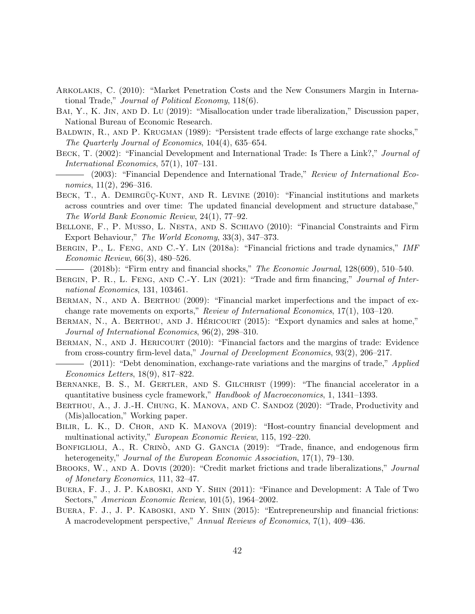- <span id="page-44-14"></span>Arkolakis, C. (2010): "Market Penetration Costs and the New Consumers Margin in International Trade," Journal of Political Economy, 118(6).
- <span id="page-44-18"></span>Bai, Y., K. Jin, and D. Lu (2019): "Misallocation under trade liberalization," Discussion paper, National Bureau of Economic Research.
- <span id="page-44-0"></span>BALDWIN, R., AND P. KRUGMAN (1989): "Persistent trade effects of large exchange rate shocks," The Quarterly Journal of Economics, 104(4), 635–654.
- <span id="page-44-7"></span>BECK, T. (2002): "Financial Development and International Trade: Is There a Link?," Journal of International Economics, 57(1), 107–131.
- <span id="page-44-1"></span>(2003): "Financial Dependence and International Trade," Review of International Economics, 11(2), 296–316.
- <span id="page-44-3"></span>BECK, T., A. DEMIRGÜÇ-KUNT, AND R. LEVINE (2010): "Financial institutions and markets across countries and over time: The updated financial development and structure database," The World Bank Economic Review, 24(1), 77–92.
- <span id="page-44-4"></span>Bellone, F., P. Musso, L. Nesta, and S. Schiavo (2010): "Financial Constraints and Firm Export Behaviour," The World Economy, 33(3), 347–373.
- <span id="page-44-12"></span>BERGIN, P., L. FENG, AND C.-Y. LIN (2018a): "Financial frictions and trade dynamics," IMF Economic Review, 66(3), 480–526.
	- $-$  (2018b): "Firm entry and financial shocks," The Economic Journal, 128(609), 510–540.
- <span id="page-44-13"></span><span id="page-44-11"></span>BERGIN, P. R., L. FENG, AND C.-Y. LIN (2021): "Trade and firm financing," Journal of International Economics, 131, 103461.
- <span id="page-44-16"></span>BERMAN, N., AND A. BERTHOU (2009): "Financial market imperfections and the impact of exchange rate movements on exports," Review of International Economics, 17(1), 103–120.
- <span id="page-44-15"></span>BERMAN, N., A. BERTHOU, AND J. HÉRICOURT  $(2015)$ : "Export dynamics and sales at home," Journal of International Economics, 96(2), 298–310.
- <span id="page-44-5"></span>BERMAN, N., AND J. HERICOURT (2010): "Financial factors and the margins of trade: Evidence from cross-country firm-level data," Journal of Development Economics, 93(2), 206–217.
- <span id="page-44-17"></span>(2011): "Debt denomination, exchange-rate variations and the margins of trade," Applied Economics Letters, 18(9), 817–822.
- <span id="page-44-10"></span>BERNANKE, B. S., M. GERTLER, AND S. GILCHRIST (1999): "The financial accelerator in a quantitative business cycle framework," Handbook of Macroeconomics, 1, 1341–1393.
- <span id="page-44-19"></span>Berthou, A., J. J.-H. Chung, K. Manova, and C. Sandoz (2020): "Trade, Productivity and (Mis)allocation," Working paper.
- <span id="page-44-6"></span>BILIR, L. K., D. CHOR, AND K. MANOVA (2019): "Host-country financial development and multinational activity," European Economic Review, 115, 192–220.
- <span id="page-44-20"></span>BONFIGLIOLI, A., R. CRINO, AND G. GANCIA (2019): "Trade, finance, and endogenous firm heterogeneity," Journal of the European Economic Association, 17(1), 79–130.
- <span id="page-44-9"></span>BROOKS, W., AND A. DOVIS (2020): "Credit market frictions and trade liberalizations," Journal of Monetary Economics, 111, 32–47.
- <span id="page-44-8"></span>BUERA, F. J., J. P. KABOSKI, AND Y. SHIN (2011): "Finance and Development: A Tale of Two Sectors," American Economic Review, 101(5), 1964–2002.
- <span id="page-44-2"></span>Buera, F. J., J. P. Kaboski, and Y. Shin (2015): "Entrepreneurship and financial frictions: A macrodevelopment perspective," Annual Reviews of Economics, 7(1), 409–436.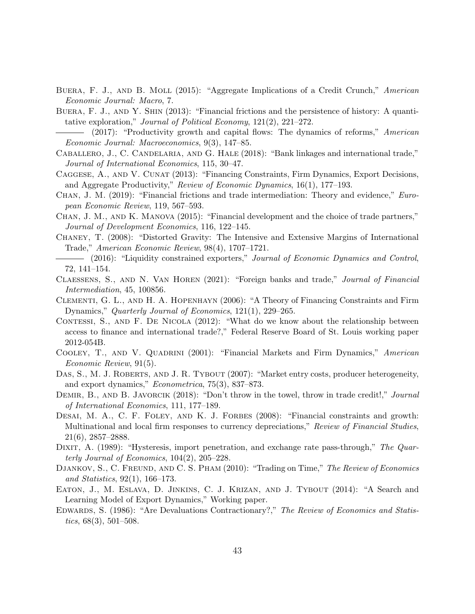- <span id="page-45-9"></span>BUERA, F. J., AND B. MOLL (2015): "Aggregate Implications of a Credit Crunch," American Economic Journal: Macro, 7.
- <span id="page-45-10"></span>Buera, F. J., and Y. Shin (2013): "Financial frictions and the persistence of history: A quantitative exploration," Journal of Political Economy, 121(2), 221–272.
- <span id="page-45-11"></span>(2017): "Productivity growth and capital flows: The dynamics of reforms," American Economic Journal: Macroeconomics, 9(3), 147–85.
- <span id="page-45-16"></span>CABALLERO, J., C. CANDELARIA, AND G. HALE (2018): "Bank linkages and international trade," Journal of International Economics, 115, 30–47.
- <span id="page-45-14"></span>CAGGESE, A., AND V. CUNAT (2013): "Financing Constraints, Firm Dynamics, Export Decisions, and Aggregate Productivity," Review of Economic Dynamics, 16(1), 177–193.
- <span id="page-45-19"></span>CHAN, J. M. (2019): "Financial frictions and trade intermediation: Theory and evidence," European Economic Review, 119, 567–593.
- <span id="page-45-18"></span>Chan, J. M., and K. Manova (2015): "Financial development and the choice of trade partners," Journal of Development Economics, 116, 122–145.
- <span id="page-45-7"></span>Chaney, T. (2008): "Distorted Gravity: The Intensive and Extensive Margins of International Trade," American Economic Review, 98(4), 1707–1721.
- <span id="page-45-12"></span>(2016): "Liquidity constrained exporters," Journal of Economic Dynamics and Control, 72, 141–154.
- <span id="page-45-17"></span>Claessens, S., and N. Van Horen (2021): "Foreign banks and trade," Journal of Financial Intermediation, 45, 100856.
- <span id="page-45-6"></span>Clementi, G. L., and H. A. Hopenhayn (2006): "A Theory of Financing Constraints and Firm Dynamics," Quarterly Journal of Economics, 121(1), 229–265.
- <span id="page-45-4"></span>CONTESSI, S., AND F. DE NICOLA (2012): "What do we know about the relationship between access to finance and international trade?," Federal Reserve Board of St. Louis working paper 2012-054B.
- <span id="page-45-5"></span>COOLEY, T., AND V. QUADRINI (2001): "Financial Markets and Firm Dynamics," American Economic Review, 91(5).
- <span id="page-45-0"></span>DAS, S., M. J. ROBERTS, AND J. R. TYBOUT (2007): "Market entry costs, producer heterogeneity, and export dynamics," Econometrica, 75(3), 837–873.
- <span id="page-45-15"></span>DEMIR, B., AND B. JAVORCIK (2018): "Don't throw in the towel, throw in trade credit!," Journal of International Economics, 111, 177–189.
- <span id="page-45-8"></span>DESAI, M. A., C. F. FOLEY, AND K. J. FORBES (2008): "Financial constraints and growth: Multinational and local firm responses to currency depreciations," Review of Financial Studies, 21(6), 2857–2888.
- <span id="page-45-2"></span>DIXIT, A. (1989): "Hysteresis, import penetration, and exchange rate pass-through," The Quarterly Journal of Economics, 104(2), 205–228.
- <span id="page-45-1"></span>DJANKOV, S., C. FREUND, AND C. S. PHAM (2010): "Trading on Time," The Review of Economics and Statistics, 92(1), 166–173.
- <span id="page-45-13"></span>Eaton, J., M. Eslava, D. Jinkins, C. J. Krizan, and J. Tybout (2014): "A Search and Learning Model of Export Dynamics," Working paper.
- <span id="page-45-3"></span>Edwards, S. (1986): "Are Devaluations Contractionary?," The Review of Economics and Statistics,  $68(3)$ ,  $501-508$ .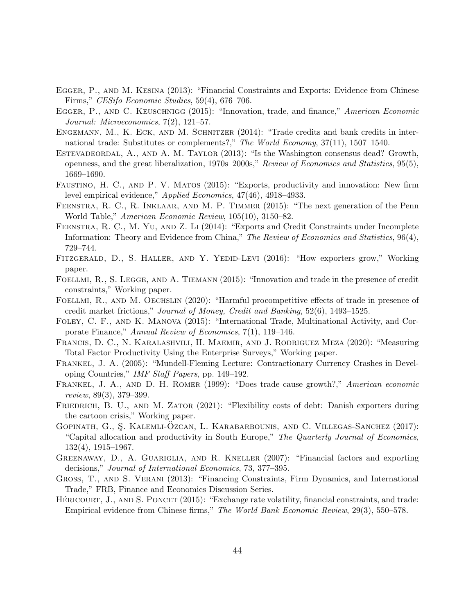- <span id="page-46-7"></span>Egger, P., and M. Kesina (2013): "Financial Constraints and Exports: Evidence from Chinese Firms," CESifo Economic Studies, 59(4), 676–706.
- <span id="page-46-15"></span>Egger, P., and C. Keuschnigg (2015): "Innovation, trade, and finance," American Economic Journal: Microeconomics, 7(2), 121–57.
- <span id="page-46-14"></span>Engemann, M., K. Eck, and M. Schnitzer (2014): "Trade credits and bank credits in international trade: Substitutes or complements?," The World Economy, 37(11), 1507–1540.
- <span id="page-46-1"></span>ESTEVADEORDAL, A., AND A. M. TAYLOR (2013): "Is the Washington consensus dead? Growth, openness, and the great liberalization, 1970s–2000s," Review of Economics and Statistics, 95(5), 1669–1690.
- <span id="page-46-17"></span>Faustino, H. C., and P. V. Matos (2015): "Exports, productivity and innovation: New firm level empirical evidence," Applied Economics, 47(46), 4918–4933.
- <span id="page-46-6"></span>Feenstra, R. C., R. Inklaar, and M. P. Timmer (2015): "The next generation of the Penn World Table," American Economic Review, 105(10), 3150–82.
- <span id="page-46-2"></span>Feenstra, R. C., M. Yu, and Z. Li (2014): "Exports and Credit Constraints under Incomplete Information: Theory and Evidence from China," The Review of Economics and Statistics, 96(4), 729–744.
- <span id="page-46-12"></span>FITZGERALD, D., S. HALLER, AND Y. YEDID-LEVI (2016): "How exporters grow," Working paper.
- <span id="page-46-16"></span>FOELLMI, R., S. LEGGE, AND A. TIEMANN (2015): "Innovation and trade in the presence of credit constraints," Working paper.
- <span id="page-46-18"></span>FOELLMI, R., AND M. OECHSLIN (2020): "Harmful procompetitive effects of trade in presence of credit market frictions," Journal of Money, Credit and Banking, 52(6), 1493–1525.
- <span id="page-46-4"></span>Foley, C. F., and K. Manova (2015): "International Trade, Multinational Activity, and Corporate Finance," Annual Review of Economics, 7(1), 119–146.
- <span id="page-46-5"></span>Francis, D. C., N. Karalashvili, H. Maemir, and J. Rodriguez Meza (2020): "Measuring Total Factor Productivity Using the Enterprise Surveys," Working paper.
- <span id="page-46-3"></span>Frankel, J. A. (2005): "Mundell-Fleming Lecture: Contractionary Currency Crashes in Developing Countries," IMF Staff Papers, pp. 149–192.
- <span id="page-46-0"></span>Frankel, J. A., and D. H. Romer (1999): "Does trade cause growth?," American economic review, 89(3), 379–399.
- <span id="page-46-8"></span>FRIEDRICH, B. U., AND M. ZATOR (2021): "Flexibility costs of debt: Danish exporters during the cartoon crisis," Working paper.
- <span id="page-46-10"></span>GOPINATH, G., S. KALEMLI-OZCAN, L. KARABARBOUNIS, AND C. VILLEGAS-SANCHEZ (2017): "Capital allocation and productivity in South Europe," The Quarterly Journal of Economics, 132(4), 1915–1967.
- <span id="page-46-9"></span>Greenaway, D., A. Guariglia, and R. Kneller (2007): "Financial factors and exporting decisions," Journal of International Economics, 73, 377–395.
- <span id="page-46-11"></span>Gross, T., and S. Verani (2013): "Financing Constraints, Firm Dynamics, and International Trade," FRB, Finance and Economics Discussion Series.
- <span id="page-46-13"></span>HÉRICOURT, J., AND S. PONCET  $(2015)$ : "Exchange rate volatility, financial constraints, and trade: Empirical evidence from Chinese firms," The World Bank Economic Review, 29(3), 550–578.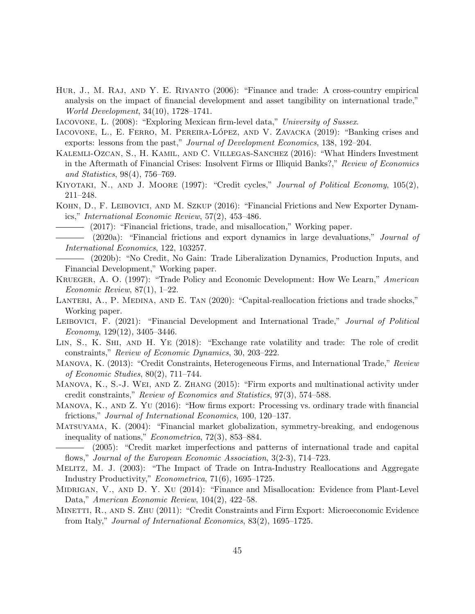- <span id="page-47-9"></span>Hur, J., M. Raj, and Y. E. Riyanto (2006): "Finance and trade: A cross-country empirical analysis on the impact of financial development and asset tangibility on international trade," World Development, 34(10), 1728–1741.
- <span id="page-47-20"></span>Iacovone, L. (2008): "Exploring Mexican firm-level data," University of Sussex.
- <span id="page-47-18"></span>IACOVONE, L., E. FERRO, M. PEREIRA-LÓPEZ, AND V. ZAVACKA (2019): "Banking crises and exports: lessons from the past," Journal of Development Economics, 138, 192–204.
- <span id="page-47-15"></span>Kalemli-Ozcan, S., H. Kamil, and C. Villegas-Sanchez (2016): "What Hinders Investment in the Aftermath of Financial Crises: Insolvent Firms or Illiquid Banks?," Review of Economics and Statistics, 98(4), 756–769.
- <span id="page-47-12"></span>KIYOTAKI, N., AND J. MOORE (1997): "Credit cycles," Journal of Political Economy, 105(2), 211–248.
- <span id="page-47-10"></span><span id="page-47-1"></span>KOHN, D., F. LEIBOVICI, AND M. SZKUP (2016): "Financial Frictions and New Exporter Dynamics," International Economic Review, 57(2), 453–486.

(2017): "Financial frictions, trade, and misallocation," Working paper.

<span id="page-47-2"></span>(2020a): "Financial frictions and export dynamics in large devaluations," Journal of International Economics, 122, 103257.

<span id="page-47-3"></span>(2020b): "No Credit, No Gain: Trade Liberalization Dynamics, Production Inputs, and Financial Development," Working paper.

- <span id="page-47-0"></span>Krueger, A. O. (1997): "Trade Policy and Economic Development: How We Learn," American Economic Review, 87(1), 1–22.
- <span id="page-47-17"></span>LANTERI, A., P. MEDINA, AND E. TAN (2020): "Capital-reallocation frictions and trade shocks," Working paper.
- <span id="page-47-4"></span>LEIBOVICI, F. (2021): "Financial Development and International Trade," Journal of Political Economy, 129(12), 3405–3446.
- <span id="page-47-16"></span>Lin, S., K. Shi, and H. Ye (2018): "Exchange rate volatility and trade: The role of credit constraints," Review of Economic Dynamics, 30, 203–222.
- <span id="page-47-6"></span>MANOVA, K. (2013): "Credit Constraints, Heterogeneous Firms, and International Trade," Review of Economic Studies, 80(2), 711–744.
- <span id="page-47-8"></span>Manova, K., S.-J. Wei, and Z. Zhang (2015): "Firm exports and multinational activity under credit constraints," Review of Economics and Statistics, 97(3), 574–588.
- <span id="page-47-19"></span>MANOVA, K., AND Z. YU (2016): "How firms export: Processing vs. ordinary trade with financial frictions," Journal of International Economics, 100, 120–137.
- <span id="page-47-13"></span>Matsuyama, K. (2004): "Financial market globalization, symmetry-breaking, and endogenous inequality of nations," Econometrica, 72(3), 853–884.

- <span id="page-47-5"></span>Melitz, M. J. (2003): "The Impact of Trade on Intra-Industry Reallocations and Aggregate Industry Productivity," Econometrica, 71(6), 1695–1725.
- <span id="page-47-11"></span>MIDRIGAN, V., AND D. Y. XU (2014): "Finance and Misallocation: Evidence from Plant-Level Data," American Economic Review, 104(2), 422–58.
- <span id="page-47-7"></span>Minetti, R., and S. Zhu (2011): "Credit Constraints and Firm Export: Microeconomic Evidence from Italy," Journal of International Economics, 83(2), 1695–1725.

<span id="page-47-14"></span><sup>(2005): &</sup>quot;Credit market imperfections and patterns of international trade and capital flows," Journal of the European Economic Association, 3(2-3), 714–723.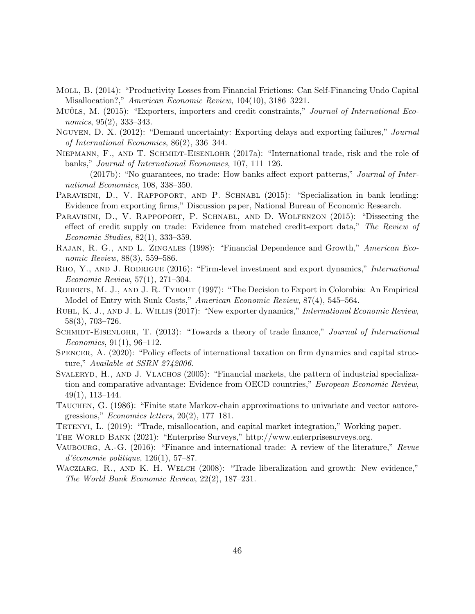- <span id="page-48-10"></span>Moll, B. (2014): "Productivity Losses from Financial Frictions: Can Self-Financing Undo Capital Misallocation?," American Economic Review, 104(10), 3186–3221.
- <span id="page-48-5"></span>MUÛLS, M. (2015): "Exporters, importers and credit constraints," Journal of International Economics, 95(2), 333–343.
- <span id="page-48-12"></span>Nguyen, D. X. (2012): "Demand uncertainty: Exporting delays and exporting failures," Journal of International Economics, 86(2), 336–344.
- <span id="page-48-16"></span>NIEPMANN, F., AND T. SCHMIDT-EISENLOHR (2017a): "International trade, risk and the role of banks," Journal of International Economics, 107, 111–126.
- <span id="page-48-17"></span>- (2017b): "No guarantees, no trade: How banks affect export patterns," *Journal of Inter*national Economics, 108, 338–350.
- <span id="page-48-15"></span>PARAVISINI, D., V. RAPPOPORT, AND P. SCHNABL (2015): "Specialization in bank lending: Evidence from exporting firms," Discussion paper, National Bureau of Economic Research.
- <span id="page-48-6"></span>PARAVISINI, D., V. RAPPOPORT, P. SCHNABL, AND D. WOLFENZON (2015): "Dissecting the effect of credit supply on trade: Evidence from matched credit-export data," The Review of Economic Studies, 82(1), 333–359.
- <span id="page-48-4"></span>RAJAN, R. G., AND L. ZINGALES (1998): "Financial Dependence and Growth," American Economic Review, 88(3), 559–586.
- <span id="page-48-11"></span>RHO, Y., AND J. RODRIGUE (2016): "Firm-level investment and export dynamics," International Economic Review, 57(1), 271–304.
- <span id="page-48-0"></span>ROBERTS, M. J., AND J. R. TYBOUT (1997): "The Decision to Export in Colombia: An Empirical Model of Entry with Sunk Costs," American Economic Review, 87(4), 545–564.
- <span id="page-48-1"></span>Ruhl, K. J., and J. L. Willis (2017): "New exporter dynamics," International Economic Review, 58(3), 703–726.
- <span id="page-48-14"></span>SCHMIDT-EISENLOHR, T. (2013): "Towards a theory of trade finance," Journal of International Economics, 91(1), 96–112.
- <span id="page-48-18"></span>Spencer, A. (2020): "Policy effects of international taxation on firm dynamics and capital structure," Available at SSRN 2742006.
- <span id="page-48-7"></span>SVALERYD, H., AND J. VLACHOS (2005): "Financial markets, the pattern of industrial specialization and comparative advantage: Evidence from OECD countries," European Economic Review, 49(1), 113–144.
- <span id="page-48-8"></span>Tauchen, G. (1986): "Finite state Markov-chain approximations to univariate and vector autoregressions," Economics letters, 20(2), 177–181.
- <span id="page-48-9"></span>Tetenyi, L. (2019): "Trade, misallocation, and capital market integration," Working paper.

<span id="page-48-3"></span>The World Bank (2021): "Enterprise Surveys," http://www.enterprisesurveys.org.

- <span id="page-48-2"></span>Vaubourg, A.-G. (2016): "Finance and international trade: A review of the literature," Revue  $d'économie$  politique,  $126(1)$ , 57–87.
- <span id="page-48-13"></span>WACZIARG, R., AND K. H. WELCH (2008): "Trade liberalization and growth: New evidence," The World Bank Economic Review, 22(2), 187–231.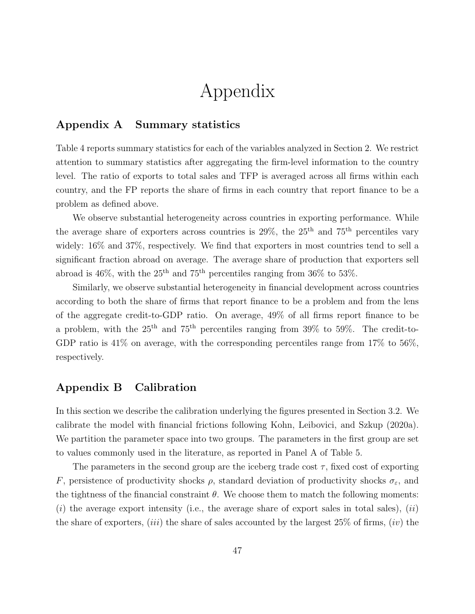## Appendix

## <span id="page-49-0"></span>Appendix A Summary statistics

Table [4](#page-50-0) reports summary statistics for each of the variables analyzed in Section [2.](#page-7-0) We restrict attention to summary statistics after aggregating the firm-level information to the country level. The ratio of exports to total sales and TFP is averaged across all firms within each country, and the FP reports the share of firms in each country that report finance to be a problem as defined above.

We observe substantial heterogeneity across countries in exporting performance. While the average share of exporters across countries is  $29\%$ , the  $25<sup>th</sup>$  and  $75<sup>th</sup>$  percentiles vary widely: 16% and 37%, respectively. We find that exporters in most countries tend to sell a significant fraction abroad on average. The average share of production that exporters sell abroad is  $46\%$ , with the  $25<sup>th</sup>$  and  $75<sup>th</sup>$  percentiles ranging from  $36\%$  to  $53\%$ .

Similarly, we observe substantial heterogeneity in financial development across countries according to both the share of firms that report finance to be a problem and from the lens of the aggregate credit-to-GDP ratio. On average, 49% of all firms report finance to be a problem, with the  $25<sup>th</sup>$  and  $75<sup>th</sup>$  percentiles ranging from  $39\%$  to  $59\%$ . The credit-to-GDP ratio is 41% on average, with the corresponding percentiles range from 17% to 56%, respectively.

## Appendix B Calibration

In this section we describe the calibration underlying the figures presented in Section [3.2.](#page-18-2) We calibrate the model with financial frictions following [Kohn, Leibovici, and Szkup](#page-47-2) [\(2020a\)](#page-47-2). We partition the parameter space into two groups. The parameters in the first group are set to values commonly used in the literature, as reported in Panel A of Table [5.](#page-51-0)

The parameters in the second group are the iceberg trade cost  $\tau$ , fixed cost of exporting F, persistence of productivity shocks  $\rho$ , standard deviation of productivity shocks  $\sigma_{\varepsilon}$ , and the tightness of the financial constraint  $\theta$ . We choose them to match the following moments:  $(i)$  the average export intensity (i.e., the average share of export sales in total sales),  $(ii)$ the share of exporters,  $(iii)$  the share of sales accounted by the largest 25% of firms,  $(iv)$  the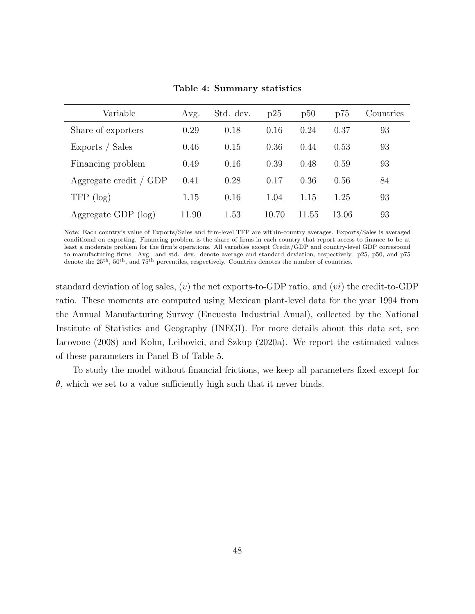<span id="page-50-0"></span>

| Variable               | Avg.  | Std. dev. | p25   | p50   | p75   | Countries |
|------------------------|-------|-----------|-------|-------|-------|-----------|
| Share of exporters     | 0.29  | 0.18      | 0.16  | 0.24  | 0.37  | 93        |
| Exports / Sales        | 0.46  | 0.15      | 0.36  | 0.44  | 0.53  | 93        |
| Financing problem      | 0.49  | 0.16      | 0.39  | 0.48  | 0.59  | 93        |
| Aggregate credit / GDP | 0.41  | 0.28      | 0.17  | 0.36  | 0.56  | 84        |
| $TFP$ (log)            | 1.15  | 0.16      | 1.04  | 1.15  | 1.25  | 93        |
| Aggregate GDP $(log)$  | 11.90 | 1.53      | 10.70 | 11.55 | 13.06 | 93        |

Table 4: Summary statistics

Note: Each country's value of Exports/Sales and firm-level TFP are within-country averages. Exports/Sales is averaged conditional on exporting. Financing problem is the share of firms in each country that report access to finance to be at least a moderate problem for the firm's operations. All variables except Credit/GDP and country-level GDP correspond to manufacturing firms. Avg. and std. dev. denote average and standard deviation, respectively. p25, p50, and p75 denote the 25<sup>th</sup>, 50<sup>th</sup>, and 75<sup>th</sup> percentiles, respectively. Countries denotes the number of countries.

standard deviation of log sales,  $(v)$  the net exports-to-GDP ratio, and  $(vi)$  the credit-to-GDP ratio. These moments are computed using Mexican plant-level data for the year 1994 from the Annual Manufacturing Survey (Encuesta Industrial Anual), collected by the National Institute of Statistics and Geography (INEGI). For more details about this data set, see [Iacovone](#page-47-20) [\(2008\)](#page-47-20) and [Kohn, Leibovici, and Szkup](#page-47-2) [\(2020a\)](#page-47-2). We report the estimated values of these parameters in Panel B of Table [5.](#page-51-0)

To study the model without financial frictions, we keep all parameters fixed except for  $\theta$ , which we set to a value sufficiently high such that it never binds.